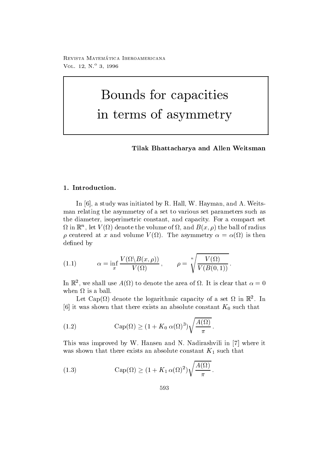reprisonal matematica - abbateonimbate ontare VOL  $12, N^{\circ}3, 1996$ 

# Bounds for capacities in terms of asymmetry

Tilak Bhattacharya and Allen Weitsman

In the study was interested by R Hall W Hall W Hall W Hall W Hall W Hall W Hall W Hall W Hall W Hall W Hall W H man relating the asymmetry of a set to various set parameters such as the diameter, isoperimetric constant, and capacity. For a compact set  $\Omega$  in  $\mathbb{R}^n$ , let  $V(\Omega)$  denote the volume of  $\Omega$ , and  $D(\mathcal{X},\rho)$  the ball of radius centered at x and volume  $\alpha$  and volume V  $\alpha$  and volume V  $\alpha$  and volume V  $\alpha$ defined by

(1.1) 
$$
\alpha = \inf_x \frac{V(\Omega \setminus B(x, \rho))}{V(\Omega)}, \qquad \rho = \sqrt[n]{\frac{V(\Omega)}{V(B(0, 1))}}.
$$

In  $\mathbb{R}^n$ , we shall use  $A(Y_t)$  to denote the area of  $\Omega$ . It is clear that  $\alpha = 0$ when  $\Omega$  is a ball.

Let  $\text{Cap}(2i)$  denote the logarithmic capacity of a set  $\Omega$  in  $\mathbb R$  . In that there exists an absolute constant K-response and the constant K-response and K-response and K-response and

(1.2) 
$$
\operatorname{Cap}(\Omega) \ge (1 + K_0 \alpha(\Omega)^3) \sqrt{\frac{A(\Omega)}{\pi}}.
$$

This was improved by W Hansen and N Nadirashvili in - where it was shown that there exists an absolute constant  $K_1$  such that

(1.3) 
$$
\operatorname{Cap}(\Omega) \ge (1 + K_1 \alpha(\Omega)^2) \sqrt{\frac{A(\Omega)}{\pi}}.
$$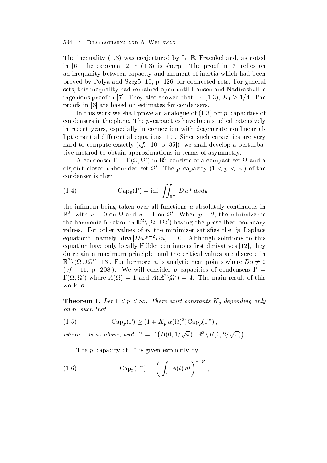The inequality is conjectured by L E Frame interaction of the interaction of  $\mathcal{H}$ in - the exponent in - the proof in - the proof in - the proof in - the proof in - the proof in - the proof in an inequality between capacity and moment of inertia which had been proved by Polya and Szego - p for connected sets For general sets, this inequality had remained open until Hansen and Nadirashvili's ingenious proof in [7]. They also showed that, in (1.3),  $K_1 \geq 1/4$ . The proofs in - are based on estimates for condensers

In this work we shall prove an analogue of  $\mathcal{N}$  , we shall prove an analogue of  $\mathcal{N}$ condensers in the plane. The  $p$ -capacities have been studied extensively in recent years, especially in connection with degenerate nonlinear elliptic partial dierential equations - Since such capacities are very hard to compute exactly a perturbation of the shall develop a perturbation of the perturbation of the perturbation of the perturbation of the perturbation of the perturbation of the perturbation of the perturbation of the tive method to obtain approximations in terms of asymmetry

A condenser  $\Gamma = \Gamma(\Omega, \Omega')$  in  $\mathbb{R}^2$  consists of a compact set  $\Omega$  and a disjoint closed unbounded set  $\Omega'$ . The *p*-capacity  $(1 < p < \infty)$  of the condenser is then

(1.4) 
$$
\operatorname{Cap}_p(\Gamma) = \inf \int_{\mathbb{R}^2} |Du|^p \, dxdy,
$$

the infimum being taken over all functions  $u$  absolutely continuous in  $\mathbb{R}^2$ , with  $u = 0$  on  $\Omega$  and  $u = 1$  on  $\Omega'$ . When  $p = 2$ , the minimizer is the harmonic function in  $\mathbb{R}^2 \setminus (\Omega \cup \Omega')$  having the prescribed boundary values. For other values of p, the minimizer satisfies the " $p$ -Laplace" equation", namely,  $\text{div}(|Du|^{p-2}Du) = 0$ . Although solutions to this equations settled they selling is they are continuously the settle for the continuous property from  $\mathcal{J}_1$ do retain a maximum principle and the critical values are discrete in  $\mathbb{R}^2 \setminus (\Omega \cup \Omega')$  [13]. Furthermore, u is analytic near points where  $Du \neq 0$  $\mathbf{v}$  -different production of consider p capacities of consider p capacities of consider p capacities of condensers of condensers  $\mathbf{r}$  $\Gamma(\Omega,\Omega')$  where  $A(\Omega) = 1$  and  $A(\mathbb{R}^2 \backslash \Omega') = 4$ . The main result of this work is

**Theorem 1.** Let  $1 \leq p \leq \infty$ . There exist constants  $K_p$  depending only on p, such that

(1.5) 
$$
Cap_p(\Gamma) \ge (1 + K_p \alpha(\Omega)^2) Cap_p(\Gamma^*),
$$

where  $\Gamma$  is as above, and  $\Gamma^* = \Gamma(B(0, 1/\sqrt{\pi}), \mathbb{R}^2 \backslash B(0, 2/\sqrt{\pi}))$ .  $\mathcal{L}$  and  $\mathcal{L}$  and  $\mathcal{L}$  and  $\mathcal{L}$  and  $\mathcal{L}$  and  $\mathcal{L}$  and  $\mathcal{L}$  and  $\mathcal{L}$  and  $\mathcal{L}$  and  $\mathcal{L}$  and  $\mathcal{L}$  and  $\mathcal{L}$  and  $\mathcal{L}$  and  $\mathcal{L}$  and  $\mathcal{L}$  and  $\mathcal{L}$  and  $\mathcal{L}$  and

The *p*-capacity of  $\Gamma^*$  is given explicitly by

(1.6) 
$$
\operatorname{Cap}_p(\Gamma^*) = \left(\int_1^4 \phi(t) dt\right)^{1-p},
$$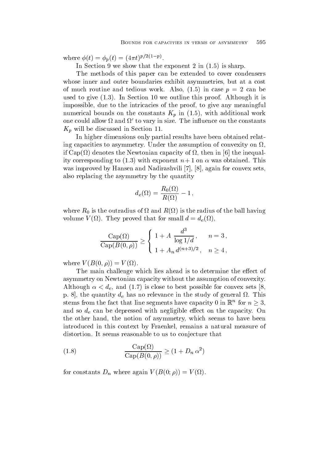where  $\phi(t) = \phi_p(t) = (4\pi t)^{p/2(1-p)}$ .

In Section , we show that the exponent in  $\mathcal{N}$  is shown that the exponent in  $\mathcal{N}$ 

The methods of this paper can be extended to cover condensers whose inner and outer boundaries exhibit asymmetries, but at a cost of much routine and tedious work  $\mathbf{r}$  and the case p  $\mathbf{r}$ used to give the section of the section of the section of the section of the section of the section of the section of the section of the section of the section of the section of the section of the section of the section of impossible, due to the intricacies of the proof, to give any meaningful  $\mathbf{v}$  in  $\mathbf{v}$  in  $\mathbf{v}$  in  $\mathbf{v}$ one could allow  $\Omega$  and  $\Omega'$  to vary in size. The influence on the constants  $K_n$  will be discussed in Section 11.

In higher dimensions only partial results have been obtained relat ing capacities to asymmetry. Under the assumption of convexity on  $\Omega$ if Capacity of the Newtonian capacity of  $\mathcal{U}$  then in  $\mathcal{U}$  then in  $\mathcal{U}$  then in  $\mathcal{U}$ ity corresponding to  $\mathbf{r}$  and  $\mathbf{r}$  and  $\mathbf{r}$  and  $\mathbf{r}$  and  $\mathbf{r}$  and  $\mathbf{r}$  and  $\mathbf{r}$  and  $\mathbf{r}$  and  $\mathbf{r}$  and  $\mathbf{r}$  and  $\mathbf{r}$  and  $\mathbf{r}$  and  $\mathbf{r}$  and  $\mathbf{r}$  and  $\mathbf{r}$  and  $\mathbf{$ was improved by Hansen and Nadirashvili - Nadirashvili - Nadirashvili - Nadirashvili - Nadirashvili - Nadirash also replacing the asymmetry by the quantity

$$
d_e(\Omega) = \frac{R_0(\Omega)}{R(\Omega)} - 1\,,
$$

 $\mathcal{L} = \mathcal{L}$  is the outradius of the radius of the ball having of the ball having  $\mathcal{L} = \mathcal{L}$ volume v (that for small discussed that for small discussed that  $\mathcal{C}(X)$ 

$$
\frac{\text{Cap}(\Omega)}{\text{Cap}(B(0,\rho))} \ge \begin{cases} 1+A \frac{d^3}{\log 1/d}, & n=3, \\ 1+A_n d^{(n+3)/2}, & n \ge 4, \end{cases}
$$

where  $\mathbf{v} = \mathbf{v} + \mathbf{v} + \mathbf{v} + \mathbf{v} + \mathbf{v} + \mathbf{v} + \mathbf{v} + \mathbf{v} + \mathbf{v} + \mathbf{v} + \mathbf{v} + \mathbf{v} + \mathbf{v} + \mathbf{v} + \mathbf{v} + \mathbf{v} + \mathbf{v} + \mathbf{v} + \mathbf{v} + \mathbf{v} + \mathbf{v} + \mathbf{v} + \mathbf{v} + \mathbf{v} + \mathbf{v} + \mathbf{v} + \mathbf{v} + \mathbf{v} + \mathbf{v} + \mathbf{$ 

The main challenge which lies ahead is to determine the effect of asymmetry on Newtonian capacity without the assumption of convexity Although de and  $\alpha$  and  $\alpha$  and  $\alpha$  best possible for convex sets - convex sets - convex sets  $\alpha$ p. 8, the quantity  $d_e$  has no relevance in the study of general  $\Omega$ . This stems from the fact that line segments have capacity 0 in  $\mathbb{R}^n$  for  $n \geq 3$ , and so  $d_e$  can be depressed with negligible effect on the capacity. On the other hand, the notion of asymmetry, which seems to have been introduced in this context by Fraenkel, remains a natural measure of distortion. It seems reasonable to us to conjecture that

(1.8) 
$$
\frac{\text{Cap}(\Omega)}{\text{Cap}(B(0,\rho))} \ge (1 + D_n \alpha^2)
$$

for constants  $\mathbf{C}$  and  $\mathbf{C}$  and  $\mathbf{C}$  are again in the set of  $\mathbf{C}$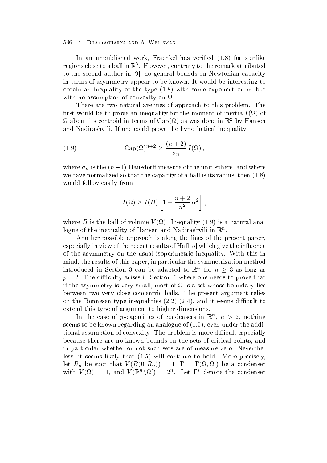In an unpublished work France in the starlike work France in the starlike starlike work framework in the starlike starlike starlike work from the starlike starlike starlike starlike starlike starlike starlike starlike star regions close to a ball in K  $\,$  . However, contrary to the remark attributed to the second author in - no general bounds on Newtonian capacity in terms of asymmetry appear to be known. It would be interesting to obtain an intervent on the type  $\mathbf{u}$  is the type  $\mathbf{u}$  is the type  $\mathbf{u}$  is the type  $\mathbf{u}$ with no assumption of convexity on  $\Omega$ .

There are two natural avenues of approach to this problem. The rst would be to prove an intertial behavior for the moment of inequality for the moment of inertia I  $\alpha$  $\Omega$  about its centroid in terms of  $\text{Cap}(\Omega)$  as was done in  $\mathbb{R}^-$  by Hansen and Nadirashvili. If one could prove the hypothetical inequality

(1.9) 
$$
\operatorname{Cap}(\Omega)^{n+2} \ge \frac{(n+2)}{\sigma_n} I(\Omega),
$$

where  $\sigma_n$  is the  $(n-1)$ -Hausdorn measure of the unit sphere, and where we have normalized so that the capacity of a ball is its radius, then  $(1.8)$ would follow easily from

$$
I(\Omega) \ge I(B) \left[ 1 + \frac{n+2}{n^2} \alpha^2 \right],
$$

where  $\mathbf{r}$  is the ball of variance is the property interest, the state of the state  $\mathbf{r}$ logue of the inequality of Hansen and Nadirashvili in <sup>R</sup><sup>n</sup>

Another possible approach is along the lines of the present paper especially in view of the recent results of Hall - which is the index  $\pi$ of the asymmetry on the usual isoperimetric inequality With this in mind, the results of this paper, in particular the symmetrization method introduced in Section 3 can be adapted to  $\mathbb{R}^n$  for  $n \geq 3$  as long as  $p = 2$ . The difficulty arises in Section 6 where one needs to prove that if the asymmetry is very small, most of  $\Omega$  is a set whose boundary lies between two very close concentric balls. The present argument relies on the Bonnesen type integration  $\{ \frac{1}{\alpha}, \frac{1}{\alpha}, \frac{1}{\alpha}, \frac{1}{\alpha} \}$  , where it seems different to extend this type of argument to higher dimensions

In the case of p-capacities of condensers in  $\mathbb{R}^n$ ,  $n > 2$ , nothing seems to be constructed and  $\lambda$  and anologue of  $\lambda$  and  $\lambda$  and  $\lambda$  and additional  $\lambda$ tional assumption of convexity. The problem is more difficult especially because there are no known bounds on the sets of critical points and in particular whether or not such sets are of measure zero. Nevertheless it seems likely that  $\mathfrak{g}$  is the continue to hold more precisely. let  $R_n$  be such that  $V(B(0,R_n)) = 1$ ,  $\Gamma = \Gamma(\Omega, \Omega')$  be a condenser with  $V(\Omega) = 1$ , and  $V(\mathbb{R}^n \setminus \Omega') = 2^n$ . Let  $\Gamma^*$  denote the condenser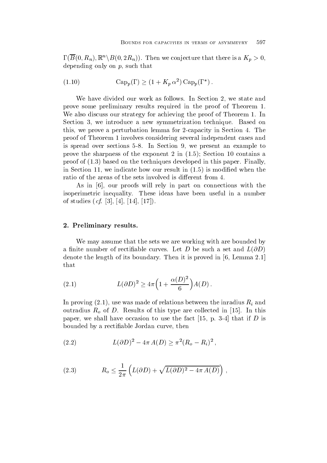$\Gamma(B(0,R_n),\mathbb{R}^n\backslash B(0,2R_n)).$  Then we conjecture that there is a  $K_p>0,$ depending only on  $p$ , such that

$$
(1.10) \qquad \qquad \text{Cap}_p(\Gamma) \ge (1 + K_p \alpha^2) \,\text{Cap}_p(\Gamma^*)\,.
$$

We have divided our work as follows. In Section 2, we state and prove some preliminary results required in the proof of Theorem We also discuss our strategy for achieving the proof of Theorem 1. In Section 3, we introduce a new symmetrization technique. Based on this, we prove a perturbation lemma for 2-capacity in Section 4. The proof of Theorem 1 involves considering several independent cases and is spread over sections 5-8. In Section 9, we present an example to prove the sharpness of the sharpness of the exponent in  $\mathcal{N}$  in  $\mathcal{N}$  is the exponent in a sharp same sharp in  $\mathcal{N}$ proof of based on the techniques developed in this paper Finally in Section 20, we indicate the section when the section  $\mu$  and the section when  $\mu$  are considered when ratio of the areas of the sets involved is different from 4.

As in - our proofs will rely in part on connections with the isoperimetric inequality. These ideas have been useful in a number  $\mathbf{v}$  and  $\mathbf{v}$  if the studies  $\mathbf{v}$  is the studies of  $\mathbf{v}$ 

### 2. Preliminary results.

We may assume that the sets we are working with are bounded by a finite number of rectifiable curves. Let D be such a set and  $L(\partial D)$ denote the length of its boundary Then it is proved in - Lemma that

(2.1) 
$$
L(\partial D)^2 \geq 4\pi \left(1 + \frac{\alpha(D)^2}{6}\right) A(D).
$$

In province  $\alpha$   $\alpha$  and  $\beta$  and in relations between the intervals between the intervals  $\alpha$ outradius Ro $_{\rm 0}$  are collected in the collected in this collected in the late collected in  $_{\rm 0}$ paper we shall have occasion to use the fact of use the fact of the fact of the fact of the fact of the fact o bounded by a rectifiable Jordan curve, then

(2.2) 
$$
L(\partial D)^{2} - 4\pi A(D) \geq \pi^{2} (R_{o} - R_{i})^{2},
$$

(2.3) 
$$
R_o \leq \frac{1}{2\pi} \left( L(\partial D) + \sqrt{L(\partial D)^2 - 4\pi A(D)} \right),
$$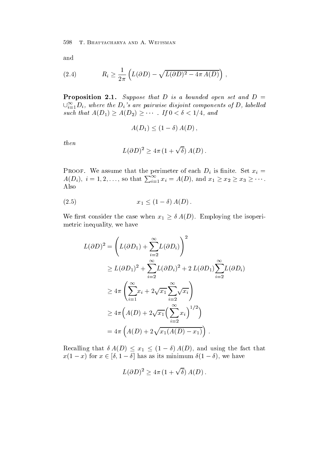$$
\quad\text{and}\quad
$$

(2.4) 
$$
R_i \geq \frac{1}{2\pi} \left( L(\partial D) - \sqrt{L(\partial D)^2 - 4\pi A(D)} \right),
$$

Proposition -Suppose that D is abounded open setand D  $\cup_{i=1}^{\infty} D_i$ , where the  $D_i$ 's are pairwise disjoint components of D, labelled such that  $A(D_1) \ge A(D_2) \ge \cdots$  If  $0 < \delta < 1/4$ , and

$$
A(D_1) \le (1 - \delta) A(D),
$$

then

$$
L(\partial D)^2 \geq 4\pi (1+\sqrt{\delta}) A(D).
$$

Proof-beth distribution in the perimeter of each Distribution  $\mathcal{V}$  . We assume that  $\mathcal{V}$  $A(D_i), i = 1, 2, \ldots$ , so that  $\sum_{i=1}^{\infty} x_i = A(D)$ , and  $x_1 \ge x_2 \ge x_3 \ge \cdots$ . Also

$$
(2.5) \t\t x_1 \le (1 - \delta) A(D).
$$

We first consider the case when  $x_1 \geq \delta A(D)$ . Employing the isoperimetric inequality, we have

$$
L(\partial D)^2 = \left( L(\partial D_1) + \sum_{i=2}^{\infty} L(\partial D_i) \right)^2
$$
  
\n
$$
\geq L(\partial D_1)^2 + \sum_{i=2}^{\infty} L(\partial D_i)^2 + 2 L(\partial D_1) \sum_{i=2}^{\infty} L(\partial D_i)
$$
  
\n
$$
\geq 4\pi \left( \sum_{i=1}^{\infty} x_i + 2\sqrt{x_1} \sum_{i=2}^{\infty} \sqrt{x_i} \right)
$$
  
\n
$$
\geq 4\pi \left( A(D) + 2\sqrt{x_1} \left( \sum_{i=2}^{\infty} x_i \right)^{1/2} \right)
$$
  
\n
$$
= 4\pi \left( A(D) + 2\sqrt{x_1} (A(D) - x_1) \right).
$$

Recalling that  $\delta A(D) \leq x_1 \leq (1-\delta) A(D)$ , and using the fact that  $x(1-x)$  for  $x \in [0, 1-\delta]$  has as its minimum  $\delta(1-\delta)$ , we have

$$
L(\partial D)^2 \geq 4\pi \left(1 + \sqrt{\delta}\right) A(D) .
$$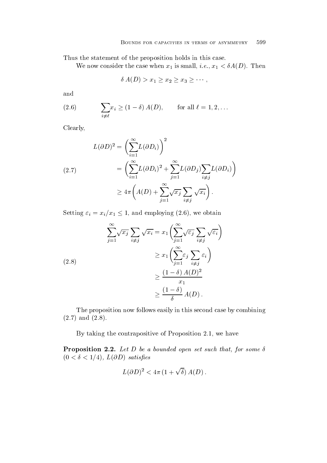Thus the statement of the proposition holds in this case

when  $\mathbf{L}$  is small if the constant  $\mathbf{L}$  is small if  $\mathbf{L}$  is small if  $\mathbf{L}$ 

$$
\delta A(D) > x_1 \geq x_2 \geq x_3 \geq \cdots,
$$

and

(2.6) 
$$
\sum_{i \neq \ell} x_i \ge (1 - \delta) A(D), \quad \text{for all } \ell = 1, 2, \ldots
$$

Clearly

$$
L(\partial D)^2 = \left(\sum_{i=1}^{\infty} L(\partial D_i)\right)^2
$$
  
= 
$$
\left(\sum_{i=1}^{\infty} L(\partial D_i)^2 + \sum_{j=1}^{\infty} L(\partial D_j) \sum_{i \neq j} L(\partial D_i)\right)
$$
  

$$
\geq 4\pi \left(A(D) + \sum_{j=1}^{\infty} \sqrt{x_j} \sum_{i \neq j} \sqrt{x_i}\right).
$$

Setting  $\varepsilon_i = x_i/x_1 \leq 1$ , and employing (2.6), we obtain

$$
\sum_{j=1}^{\infty} \sqrt{x_j} \sum_{i \neq j} \sqrt{x_i} = x_1 \left( \sum_{j=1}^{\infty} \sqrt{\varepsilon_j} \sum_{i \neq j} \sqrt{\varepsilon_i} \right)
$$
  

$$
\geq x_1 \left( \sum_{j=1}^{\infty} \varepsilon_j \sum_{i \neq j} \varepsilon_i \right)
$$
  

$$
\geq \frac{(1-\delta) A(D)^2}{x_1}
$$
  

$$
\geq \frac{(1-\delta)}{\delta} A(D).
$$

The proposition now follows easily in this second case by combining and the contract of the contract of the contract of the contract of the contract of the contract of the contract of the contract of the contract of the contract of the contract of the contract of the contract of the contra

By taking the contrapositive of Proposition 2.1, we have

**Proposition 2.2.** Let D be a bounded open set such that, for some  $\delta$  L D satises

$$
L(\partial D)^2 < 4\pi (1+\sqrt{\delta}) A(D).
$$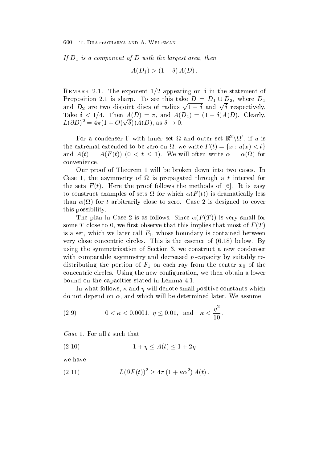If  $D_1$  is a component of D with the largest area, then

 $A(D_1) > (1 - 0) A(D)$ .

Remark -- The exponent appearing on in the statement of Proposition 2.1 is sharp. To see this take  $D = D_1 \cup D_2$ , where  $D_1$ and  $D_2$  are two disjoint discs of radius  $\sqrt{1-\delta}$  and  $\sqrt{\delta}$  respectively. Take  $0 \leq 1/4$ . Then  $A(D) = \Lambda$ , and  $A(D) = (1 - \theta)A(D)$ . Olearly,  $L(\partial D)^2 = 4\pi (1 + O(\sqrt{\delta})) A(D)$ , as  $\delta \to 0$ .

For a condenser  $\Gamma$  with inner set  $\Omega$  and outer set  $\mathbb{R}^2 \setminus \Omega'$ , if u is the extremal extended to be zero on  $\Omega$ , we write  $F(t) = \{x : u(x) < t\}$ and  $A(t) = A(F(t))$   $(0 < t < 1)$ . We will often write  $\alpha = \alpha(\Omega)$  for convenience

Our proof of Theorem 1 will be broken down into two cases. In Case 1, the asymmetry of  $\Omega$  is propagated through a t interval for the sets  $\mathbf{H}$  is easy the methods of  $\mathbf{H}$  is easy the methods of  $\mathbf{H}$  is easy the methods of  $\mathbf{H}$ to construct examples of sets  $\mathcal{L}$  and  $\mathcal{L}$  is defined as  $\mathcal{L}$  . If  $\mathcal{L}$  is defined as  $\mathcal{L}$  $f(x)$  is the contract of  $f(x)$  are  $f(x)$  are  $f(x)$  . The covered to  $f(x)$  is designed to  $f(x)$  . The cover of  $f(x)$ this possibility

The plan in  $\mathbb{F}_p$  is as follows Since  $\mathbb{F}_p$  , we have the following  $\mathbb{F}_p$  is very small for  $\mathbb{F}_p$ some T close to 0, we first observe that this implies that most of  $F(T)$ is a set, which we later call  $F_1$ , whose boundary is contained between  $\alpha$  . This is the estimated this is the estimated this is the estimated of  $\alpha$  ,  $\alpha$  ,  $\alpha$  ,  $\alpha$  ,  $\alpha$  ,  $\alpha$ using the symmetrization of Section 3, we construct a new condenser with comparable asymmetry and decreased  $p$ -capacity by suitably redistribution of the portion of F one center any from the center x-the center  $\alpha$ concentric circles. Using the new configuration, we then obtain a lower bound on the capacities stated in Lemma

In what follows,  $\kappa$  and  $\eta$  will denote small positive constants which do not depend on  $\alpha$ , and which will be determined later. We assume

(2.9) 
$$
0 < \kappa < 0.0001, \eta \le 0.01, \text{ and } \kappa < \frac{\eta^2}{10}.
$$

Case 1. For all t such that

$$
(2.10)\qquad \qquad 1+\eta \le A(t) \le 1+2\eta
$$

we have

$$
(2.11) \tL(\partial F(t))^2 \ge 4\pi (1 + \kappa \alpha^2) A(t).
$$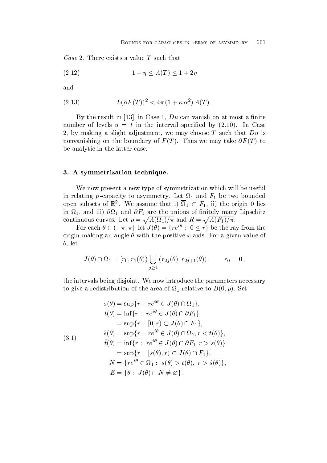Case 2. There exists a value T such that

$$
(2.12)\qquad \qquad 1+\eta\leq A(T)\leq 1+2\eta
$$

and

(2.13) 
$$
L(\partial F(T))^2 < 4\pi (1 + \kappa \alpha^2) A(T).
$$

 $B$  the result in  $B$  -due to at most and at most and at most and at most and at most and  $\alpha$ number of the interval species in the interval species of  $\mathcal{I}_1$  ,  $\mathcal{I}_2$  , and  $\mathcal{I}_3$  , and  $\mathcal{I}_4$ 2, by making a slight adjustment, we may choose  $T$  such that  $Du$  is in the boundary of  $\mathcal{L}$  is a strong on the boundary of  $\mathcal{L}$  , the boundary of  $\mathcal{L}$ be analytic in the latter case

#### 3. A symmetrization technique.

We now present a new type of symmetrization which will be useful in relating p-capacity to asymmetry. Let  $\Omega_1$  and  $F_1$  be two bounded open subsets of  $\mathbb{K}^2$ . We assume that 1)  $\Omega_1 \subset F_1$ , 11) the origin 0 lies in and in the unions of the unions of the unions of the unions of the unions of the unions of the unions of the unions of the union  $\mu$ continuous curves. Let  $\rho = \sqrt{A(\Omega_1)/\pi}$  and  $R = \sqrt{A(F_1)/\pi}$ .

For each  $\theta \in (-\pi, \pi]$ , let  $J(\theta) = \{re^{i\theta} : 0 \leq r\}$  be the ray from the origin making an angle  $\theta$  with the positive x-axis. For a given value of  $\theta$ , let

$$
J(\theta) \cap \Omega_1 = [r_0, r_1(\theta)) \bigcup_{j \ge 1} (r_{2j}(\theta), r_{2j+1}(\theta)), \qquad r_0 = 0,
$$

the intervals being disjoint. We now introduce the parameters necessary to give a redistribution of the area of the area of the area of the area of the area of the area of the area of the area of the area of the area of the area of the area of the area of the area of the area of the area of t

(3.1)  
\n
$$
s(\theta) = \sup\{r : re^{i\theta} \in J(\theta) \cap \Omega_1\},
$$
\n
$$
t(\theta) = \inf\{r : re^{i\theta} \in J(\theta) \cap \partial F_1\}
$$
\n
$$
= \sup\{r : [0, r) \subset J(\theta) \cap F_1\},
$$
\n
$$
\hat{s}(\theta) = \sup\{r : re^{i\theta} \in J(\theta) \cap \Omega_1, r < t(\theta)\},
$$
\n
$$
\hat{t}(\theta) = \inf\{r : re^{i\theta} \in J(\theta) \cap \partial F_1, r > s(\theta)\}
$$
\n
$$
= \sup\{r : [s(\theta), r) \subset J(\theta) \cap F_1\},
$$
\n
$$
N = \{re^{i\theta} \in \Omega_1 : s(\theta) > t(\theta), r > \hat{s}(\theta)\},
$$
\n
$$
E = \{\theta : J(\theta) \cap N \neq \emptyset\}.
$$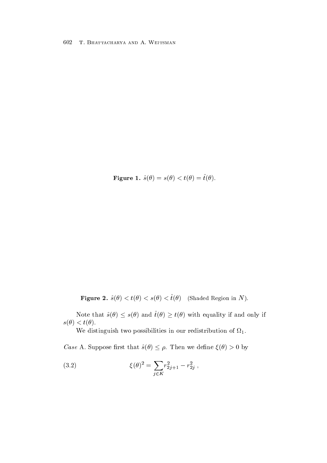$\bf{r}$  igure 1.  $\partial(\nu) = \partial(\nu) \times \partial(\nu) = \partial(\nu)$ .

**Figure 4.**  $\partial(U) \setminus U(U) \setminus \partial(U) \setminus U(U)$  (shaded Region in TV).

Note that  $\hat{s}(\theta) \leq s(\theta)$  and  $t(\theta) \geq t(\theta)$  with equality if and only if  $\sim$   $\sim$   $\sim$   $\sim$   $\sim$   $\sim$   $\sim$   $\sim$ 

We distinguish two possibilities in our redistribution of  $\Omega_1$ .

*Case* A. Suppose first that  $\hat{s}(\theta) \leq \rho$ . Then we define  $\xi(\theta) > 0$  by

(3.2) 
$$
\xi(\theta)^2 = \sum_{j \in K} r_{2j+1}^2 - r_{2j}^2 ,
$$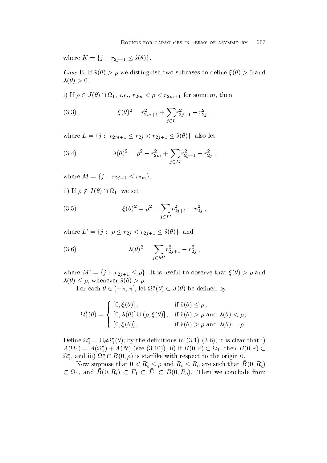where  $K = \{j : r_{2j+1} \leq \hat{s}(\theta)\}.$ 

case Bif s and two subcases to determine the subcases to determine the subcases to determine the subcases of the subcases of the subcases of the subcases of the subcases of the subcases of the subcases of the subcases of t 

i) If  $\rho \in J(\theta) \cap \Omega_1$ , *i.e.*,  $r_{2m} < \rho < r_{2m+1}$  for some m, then

(3.3) 
$$
\xi(\theta)^2 = r_{2m+1}^2 + \sum_{j \in L} r_{2j+1}^2 - r_{2j}^2,
$$

where  $L = \{j : r_{2m+1} \le r_{2j} < r_{2j+1} \le \hat{s}(\theta)\};$  also let

(3.4) 
$$
\lambda(\theta)^2 = \rho^2 - r_{2m}^2 + \sum_{j \in M} r_{2j+1}^2 - r_{2j}^2,
$$

where  $M = \{j : r_{2j+1} \leq r_{2m}\}.$ 

ii) If  $\rho \notin J(\theta) \cap \Omega_1$ , we set

(3.5) 
$$
\xi(\theta)^2 = \rho^2 + \sum_{j \in L'} r_{2j+1}^2 - r_{2j}^2 ,
$$

where  $L' = \{j : \rho \leq r_{2j} < r_{2j+1} \leq \hat{s}(\theta)\}\text{, and}$ 

(3.6) 
$$
\lambda(\theta)^2 = \sum_{j \in M'} r_{2j+1}^2 - r_{2j}^2 ,
$$

where  $M' = \{j : r_{2j+1} \leq \rho\}$ . It is useful to observe that  $\xi(\theta) > \rho$  and  $\lambda(\theta) \leq \rho$ , whenever  $\hat{s}(\theta) > \rho$ .

For each  $\theta \in (-\pi, \pi]$ , let  $\Omega_1^*(\theta) \subset J(\theta)$  be defined by

$$
\Omega_1^*(\theta) = \begin{cases}\n\left[0, \xi(\theta)\right], & \text{if } \hat{s}(\theta) \le \rho, \\
\left[0, \lambda(\theta)\right] \cup (\rho, \xi(\theta)], & \text{if } \hat{s}(\theta) > \rho \text{ and } \lambda(\theta) < \rho, \\
\left[0, \xi(\theta)\right], & \text{if } \hat{s}(\theta) > \rho \text{ and } \lambda(\theta) = \rho.\n\end{cases}
$$

Define  $\Omega_1^* = \bigcup_{\theta} \Omega_1^*(\theta)$ ; by the definitions in (3.1)-(3.6), it is clear that i)  $A(\Omega_1) = A(\Omega_1^*) + A(N)$  (see (3.10)), ii) if  $B(0, r) \subset \Omega_1$ , then  $B(0, r)$   $\Omega_1^*$ , and iii)  $\Omega_1^* \cap B(0,\rho)$  is starlike with respect to the origin 0.

Now suppose that  $0 < R_i' \le \rho$  and  $R_i \le R_o$  are such that  $B(0,R_i')$  $\subset \Omega_1$ , and  $B(0, R_i) \subset F_1 \subset F_1 \subset B(0, R_o)$ . Then we conclude from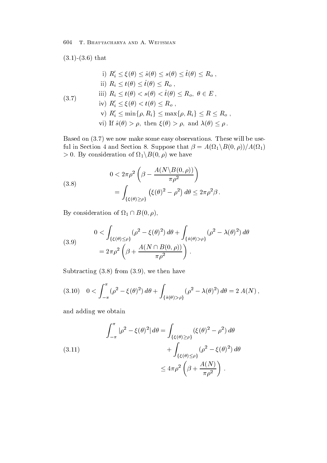$t = 1$  that  $t = 1$ 

\n- i) 
$$
R'_i \leq \xi(\theta) \leq \hat{s}(\theta) \leq s(\theta) \leq \hat{t}(\theta) \leq R_o
$$
,
\n- ii)  $R_i \leq t(\theta) \leq \hat{t}(\theta) \leq R_o$ ,
\n- iii)  $R_i \leq t(\theta) < s(\theta) < \hat{t}(\theta) \leq R_o$ ,  $\theta \in E$ ,
\n- iv)  $R'_i \leq \xi(\theta) < t(\theta) \leq R_o$ ,
\n- v)  $R'_i \leq \min\{\rho, R_i\} \leq \max\{\rho, R_i\} \leq R \leq R_o$ ,
\n- vi) If  $\hat{s}(\theta) > \rho$ , then  $\xi(\theta) > \rho$ , and  $\lambda(\theta) \leq \rho$ .
\n

 $\mathbf{B}$ ful in Section 4 and Section 8. Suppose that  $\beta = A(\Omega_1 \backslash B(0,\rho))/A(\Omega_1)$  $> 0$ . By consideration of  $\Omega_1 \backslash B(0,\rho)$  we have

(3.8)  
\n
$$
0 < 2\pi \rho^2 \left(\beta - \frac{A(N \setminus B(0, \rho))}{\pi \rho^2}\right)
$$
\n
$$
= \int_{\{\xi(\theta) \ge \rho\}} \left(\xi(\theta)^2 - \rho^2\right) d\theta \le 2\pi \rho^2 \beta.
$$

By consideration of  $\Omega_1 \cap B(0,\rho)$ ,

(3.9) 
$$
0 < \int_{\{\xi(\theta) \leq \rho\}} (\rho^2 - \xi(\theta)^2) d\theta + \int_{\{\hat{s}(\theta) > \rho\}} (\rho^2 - \lambda(\theta)^2) d\theta
$$

$$
= 2\pi \rho^2 \left(\beta + \frac{A(N \cap B(0, \rho))}{\pi \rho^2}\right).
$$

 $\mathbf{S}$  . Then have the subtraction of  $\mathbf{S}$  ,  $\mathbf{S}$  ,  $\mathbf{S}$  ,  $\mathbf{S}$  ,  $\mathbf{S}$  ,  $\mathbf{S}$  ,  $\mathbf{S}$  ,  $\mathbf{S}$  ,  $\mathbf{S}$  ,  $\mathbf{S}$  ,  $\mathbf{S}$  ,  $\mathbf{S}$  ,  $\mathbf{S}$  ,  $\mathbf{S}$  ,  $\mathbf{S}$  ,  $\mathbf{S}$  ,  $\mathbf{$ 

$$
(3.10) \quad 0 < \int_{-\pi}^{\pi} (\rho^2 - \xi(\theta)^2) d\theta + \int_{\{\hat{s}(\theta) > \rho\}} (\rho^2 - \lambda(\theta)^2) d\theta = 2 A(N),
$$

and adding we obtain

(3.11)  

$$
\int_{-\pi}^{\pi} |\rho^2 - \xi(\theta)^2| d\theta = \int_{\{\xi(\theta) \ge \rho\}} (\xi(\theta)^2 - \rho^2) d\theta
$$

$$
+ \int_{\{\xi(\theta) \le \rho\}} (\rho^2 - \xi(\theta)^2) d\theta
$$

$$
\le 4\pi \rho^2 \left(\beta + \frac{A(N)}{\pi \rho^2}\right).
$$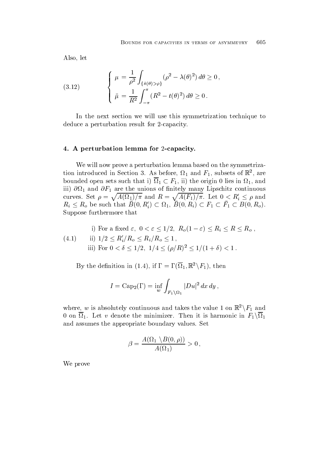Also, let

(3.12) 
$$
\begin{cases} \mu = \frac{1}{\rho^2} \int_{\{\hat{s}(\theta) > \rho\}} (\rho^2 - \lambda(\theta)^2) d\theta \ge 0, \\ \bar{\mu} = \frac{1}{R^2} \int_{-\pi}^{\pi} (R^2 - t(\theta)^2) d\theta \ge 0. \end{cases}
$$

In the next section we will use this symmetrization technique to deduce a perturbation result for 2-capacity.

## 4. A perturbation lemma for 2-capacity.

We will now prove a perturbation lemma based on the symmetrization introduced in Section 5. As before,  $\Omega_1$  and  $\Gamma_1$ , subsets of  $\mathbb R$ , are bounded open sets such that 1)  $\Omega_1 \subset F_1$ , 11) the origin 0 lies in  $\Omega_1$ , and in the continuous continuous continuous continuous continuous continuous continuous continuous continuous continuous continuous continuous continuous continuous continuous continuous continuous continuous continuous conti curves. Set  $\rho = \sqrt{A(\Omega_1)/\pi}$  and  $R = \sqrt{A(F_1)/\pi}$ . Let  $0 < R'_i \le \rho$  and  $R_i \leq R_o$  be such that  $B(0, R'_i) \subset \Omega_1$ ,  $B(0, R_i) \subset F_1 \subset F_1 \subset B(0, R_o)$ . Suppose furthermore that

 $(4.1)$ ii)  $1/2 \le R'_i/R_o \le R_i/R_o \le 1$ , i) For a fixed  $\varepsilon, 0 < \varepsilon \leq 1/2, R_o(1-\varepsilon) \leq R_i \leq R \leq R_o$ , iii) For  $0 < \delta \leq 1/2$ ,  $1/4 \leq (\rho/R)^2 \leq 1/(1+\delta) < 1$ .

By the definition in (1.4), if  $\Gamma = \Gamma(\Omega_1, \mathbb{R}^2 \backslash F_1)$ , then

$$
I = \operatorname{Cap}_2(\Gamma) = \inf_{w} \int_{F_1 \setminus \Omega_1} |Du|^2 dx dy,
$$

where, w is absolutely continuous and takes the value 1 on  $\mathbb{R}^2 \setminus F_1$  and 0 on  $\overline{\Omega}_1$ . Let v denote the minimizer. Then it is harmonic in  $F_1 \backslash \overline{\Omega}_1$ and assumes the appropriate boundary values. Set

$$
\beta = \frac{A(\Omega_1 \setminus B(0,\rho))}{A(\Omega_1)} > 0,
$$

We prove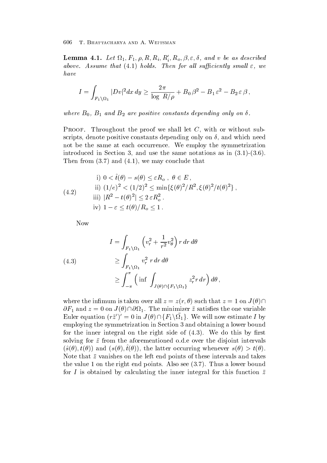**Lemma 4.1.** Let  $\Omega_1, F_1, \rho, R, R_i, R'_i, R_o, \beta, \varepsilon, \delta$ , and v be as described assume that  $\mathcal{A}$  assume that  $\mathcal{A}$  and  $\mathcal{A}$  all such all such all such as  $\mathcal{A}$ have

$$
I = \int_{F_1 \setminus \Omega_1} |Dv|^2 dx dy \ge \frac{2\pi}{\log R/\rho} + B_0 \beta^2 - B_1 \varepsilon^2 - B_2 \varepsilon \beta,
$$

where  $B_1$  and B are positive constants depending on  $B_1$  and  $B_2$  and  $B_3$  and  $B_4$ 

Proof- Throughout the proof we shall let C with or without sub scripts, denote positive constants depending only on  $\delta$ , and which need not be the same at each occurrence We employ the symmetrization interaction in Section 1. Section 1. Section 1. Section 1. Section 1. Section 1. Section 1. Section 1. Section  $\mathbf{v} = \mathbf{v} \mathbf{v}$  and  $\mathbf{v} = \mathbf{v} \mathbf{v}$  and  $\mathbf{v} = \mathbf{v} \mathbf{v}$ 

(4.2)  
\ni) 
$$
0 < \hat{t}(\theta) - s(\theta) \le \varepsilon R_o
$$
,  $\theta \in E$ ,  
\nii)  $(1/e)^2 < (1/2)^2 \le \min{\{\xi(\theta)^2/R^2, \xi(\theta)^2/t(\theta)^2\}}$ ,  
\niii)  $|R^2 - t(\theta)^2| \le 2 \varepsilon R_o^2$ .  
\niv)  $1 - \varepsilon \le t(\theta)/R_o \le 1$ .

Now

(4.3)  
\n
$$
I = \int_{F_1 \setminus \Omega_1} \left( v_r^2 + \frac{1}{r^2} v_\theta^2 \right) r \, dr \, d\theta
$$
\n
$$
\geq \int_{F_1 \setminus \Omega_1} v_r^2 \, r \, dr \, d\theta
$$
\n
$$
\geq \int_{-\pi}^{\pi} \left( \inf \int_{J(\theta) \cap \{F_1 \setminus \Omega_1\}} z_r^2 r \, dr \right) d\theta,
$$

where the infimum is taken over all  $z = z(r, \theta)$  such that  $z = 1$  on  $J(\theta) \cap$  $\partial F_1$  and  $z = 0$  on  $J(\theta) \cap \partial \Omega_1$ . The minimizer  $\bar{z}$  satisfies the one variable Euler equation  $(r\bar{z}')' = 0$  in  $J(\theta) \cap \{F_1 \backslash \Omega_1\}$ . We will now estimate I by employing the symmetrization in Section 3 and obtaining a lower bound for the integral on the contract side of  $\mathcal{A}$  , and  $\mathcal{A}$  are  $\mathcal{A}$  of  $\mathcal{A}$  . This bound of  $\mathcal{A}$ solving for  $\bar{z}$  from the aforementioned o.d.e over the disjoint intervals  $\{ \sigma(v), v(v) \}$  and  $\{ \sigma(v), v(v) \}$ , the latter occurring whenever  $\sigma(v) > \sigma(v)$ . Note that  $\bar{z}$  vanishes on the left end points of these intervals and takes  $\mathcal{L}$  , where  $\mathcal{L}$  and  $\mathcal{L}$  and  $\mathcal{L}$  seems a lower bound bound bound bound bound bound bound bound bound bound bound bound bound bound bound bound bound bound bound bound bound bound bound bound bound bound for I is obtained by calculating the inner integral for this function  $\bar{z}$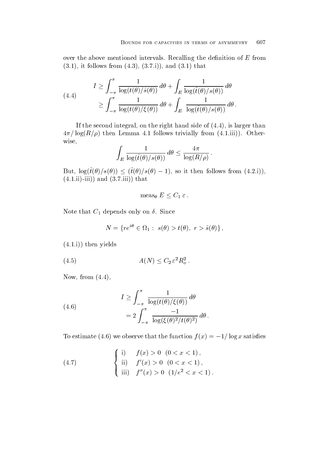over the above mentioned intervals. Recalling the definition of  $E$  from it follows from  $\mathbf{r}$  that is the set of  $\mathbf{r}$ 

(4.4) 
$$
I \geq \int_{-\pi}^{\pi} \frac{1}{\log(t(\theta)/\hat{s}(\theta))} d\theta + \int_{E} \frac{1}{\log(\hat{t}(\theta)/s(\theta))} d\theta
$$

$$
\geq \int_{-\pi}^{\pi} \frac{1}{\log(t(\theta)/\xi(\theta))} d\theta + \int_{E} \frac{1}{\log(\hat{t}(\theta)/s(\theta))} d\theta.
$$

If the second integral on the right hand side of  $\mathbf{I}$ log and the lemma in the second of the second trivial from the second of the second second in the second of the wise

$$
\int_E \frac{1}{\log(\hat{t}(\theta)/s(\theta))} \, d\theta \le \frac{4\pi}{\log(R/\rho)} \, .
$$

But,  $\log(t(\theta)/s(\theta)) \leq (t(\theta)/s(\theta)-1)$ , so it then follows from  $(4.2.i)$ ),  $i \in I$  is the set of  $i \in I$  is the set of  $i \in I$ 

$$
\operatorname{meas}_{\theta} E \leq C_1 \varepsilon.
$$

Note that  $C_1$  depends only on  $\delta$ . Since

$$
N = \{ re^{i\theta} \in \Omega_1 : s(\theta) > t(\theta), r > \hat{s}(\theta) \},
$$

 $\mathbf{y}$  is the state  $\mathbf{y}$  is the state  $\mathbf{y}$  is the state  $\mathbf{y}$  is the state  $\mathbf{y}$ 

$$
(4.5) \t\t A(N) \le C_2 \varepsilon^2 R_o^2.
$$

Now from 

(4.6)  

$$
I \geq \int_{-\pi}^{\pi} \frac{1}{\log(t(\theta)/\xi(\theta))} d\theta
$$

$$
= 2 \int_{-\pi}^{\pi} \frac{-1}{\log(\xi(\theta)^2/t(\theta)^2)} d\theta.
$$

To estimate (4.0) we observe that the function  $f(x) = -1/(\log x)$  satisfies

(4.7) 
$$
\begin{cases} \text{i)} & f(x) > 0 \ (0 < x < 1), \\ \text{ii)} & f'(x) > 0 \ (0 < x < 1), \\ \text{iii)} & f''(x) > 0 \ (1/e^2 < x < 1). \end{cases}
$$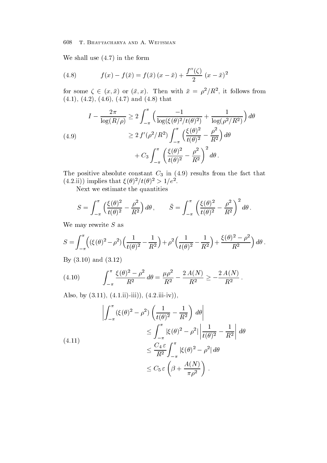$\mathcal{N}$  in the form of the form of the form of the form of the form of the form of the form of the form of the form of the form of the form of the form of the form of the form of the form of the form of the form of the f

(4.8) 
$$
f(x) - f(\bar{x}) = f(\bar{x})(x - \bar{x}) + \frac{f''(\zeta)}{2}(x - \bar{x})^2
$$

for some  $\zeta \in (x, x)$  or  $(x, x)$ . Then with  $x = \rho^2/R^2$ , it follows from and  $\alpha$  is that is the contract of the contract of the contract of the contract of the contract of the contract of the contract of the contract of the contract of the contract of the contract of the contract of the contr

$$
I - \frac{2\pi}{\log(R/\rho)} \ge 2 \int_{-\pi}^{\pi} \left( \frac{-1}{\log(\xi(\theta)^2/t(\theta)^2)} + \frac{1}{\log(\rho^2/R^2)} \right) d\theta
$$
  
(4.9)  

$$
\ge 2 f'(\rho^2/R^2) \int_{-\pi}^{\pi} \left( \frac{\xi(\theta)^2}{t(\theta)^2} - \frac{\rho^2}{R^2} \right) d\theta
$$

$$
+ C_3 \int_{-\pi}^{\pi} \left( \frac{\xi(\theta)^2}{t(\theta)^2} - \frac{\rho^2}{R^2} \right)^2 d\theta.
$$

The positive absolute constant  $\sim 0$  in (  $\sim$  ) is the fact that from the fact that  $\sim$  $(4.2.11)$  implies that  $\zeta(\theta)$  / $\iota(\theta)$  > 1/e.

Next we estimate the quantities

$$
S = \int_{-\pi}^{\pi} \left( \frac{\xi(\theta)^2}{t(\theta)^2} - \frac{\rho^2}{R^2} \right) d\theta, \qquad \bar{S} = \int_{-\pi}^{\pi} \left( \frac{\xi(\theta)^2}{t(\theta)^2} - \frac{\rho^2}{R^2} \right)^2 d\theta.
$$

We may rewrite  $S$  as

$$
S = \int_{-\pi}^{\pi} \left( (\xi(\theta)^2 - \rho^2) \left( \frac{1}{t(\theta)^2} - \frac{1}{R^2} \right) + \rho^2 \left( \frac{1}{t(\theta)^2} - \frac{1}{R^2} \right) + \frac{\xi(\theta)^2 - \rho^2}{R^2} \right) d\theta.
$$

 $\blacksquare$  and  $\blacksquare$  and  $\blacksquare$  and  $\blacksquare$ 

(4.10) 
$$
\int_{-\pi}^{\pi} \frac{\xi(\theta)^2 - \rho^2}{R^2} d\theta = \frac{\mu \rho^2}{R^2} - \frac{2 A(N)}{R^2} \ge -\frac{2 A(N)}{R^2}.
$$

a is the contract of the contract of the contract of the contract of the contract of the contract of the contract of the contract of the contract of the contract of the contract of the contract of the contract of the contr

$$
\left| \int_{-\pi}^{\pi} (\xi(\theta)^2 - \rho^2) \left( \frac{1}{t(\theta)^2} - \frac{1}{R^2} \right) d\theta \right|
$$
  
\n
$$
\leq \int_{-\pi}^{\pi} |\xi(\theta)^2 - \rho^2| \left| \frac{1}{t(\theta)^2} - \frac{1}{R^2} \right| d\theta
$$
  
\n
$$
\leq \frac{C_4 \varepsilon}{R^2} \int_{-\pi}^{\pi} |\xi(\theta)^2 - \rho^2| d\theta
$$
  
\n
$$
\leq C_5 \varepsilon \left( \beta + \frac{A(N)}{\pi \rho^2} \right).
$$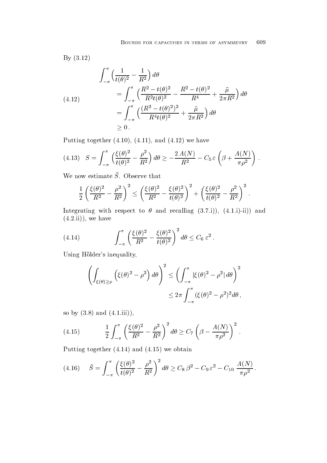By (3.12)  
\n
$$
\int_{-\pi}^{\pi} \left( \frac{1}{t(\theta)^2} - \frac{1}{R^2} \right) d\theta
$$
\n
$$
= \int_{-\pi}^{\pi} \left( \frac{R^2 - t(\theta)^2}{R^2 t(\theta)^2} - \frac{R^2 - t(\theta)^2}{R^4} + \frac{\bar{\mu}}{2\pi R^2} \right) d\theta
$$
\n
$$
= \int_{-\pi}^{\pi} \left( \frac{(R^2 - t(\theta)^2)^2}{R^4 t(\theta)^2} + \frac{\bar{\mu}}{2\pi R^2} \right) d\theta
$$
\n
$$
\geq 0.
$$

 $P_1$  and  $P_2$  and  $P_3$  and  $P_4$  and  $P_5$  and  $P_6$  and  $P_7$  and  $P_8$  and  $P_9$  and  $P_9$  and  $P_9$  and  $P_9$  and  $P_9$  and  $P_9$  and  $P_9$  and  $P_9$  and  $P_9$  and  $P_9$  and  $P_9$  and  $P_9$  and  $P_9$  and  $P_9$  and

(4.13) 
$$
S = \int_{-\pi}^{\pi} \left( \frac{\xi(\theta)^2}{t(\theta)^2} - \frac{\rho^2}{R^2} \right) d\theta \ge -\frac{2 A(N)}{R^2} - C_5 \,\varepsilon \left( \beta + \frac{A(N)}{\pi \rho^2} \right) \,.
$$

We now estimate  $\overline{S}$ . Observe that

$$
\frac{1}{2}\left(\frac{\xi(\theta)^2}{R^2}-\frac{\rho^2}{R^2}\right)^2 \le \left(\frac{\xi(\theta)^2}{R^2}-\frac{\xi(\theta)^2}{t(\theta)^2}\right)^2+\left(\frac{\xi(\theta)^2}{t(\theta)^2}-\frac{\rho^2}{R^2}\right)^2\,.
$$

integrating with respect to  $\mathbb{I}$  in the recalling  $\mathbb{I}$  in the recalling  $\mathbb{I}$  $\mathbf{u}$  is the set of  $\mathbf{u}$  is the set of  $\mathbf{u}$  is the set of  $\mathbf{u}$  is the set of  $\mathbf{u}$ 

(4.14) 
$$
\int_{-\pi}^{\pi} \left( \frac{\xi(\theta)^2}{R^2} - \frac{\xi(\theta)^2}{t(\theta)^2} \right)^2 d\theta \leq C_6 \varepsilon^2.
$$

Using Hölder's inequality,

$$
\left(\int_{\xi(\theta)\geq\rho}\left(\xi(\theta)^2-\rho^2\right)d\theta\right)^2\leq\left(\int_{-\pi}^{\pi}|\xi(\theta)^2-\rho^2|d\theta\right)^2
$$

$$
\leq2\pi\int_{-\pi}^{\pi}(\xi(\theta)^2-\rho^2)^2d\theta,
$$

so by  $\mathbf{a} \cdot \mathbf{b} = \mathbf{b} \cdot \mathbf{c}$ 

(4.15) 
$$
\frac{1}{2} \int_{-\pi}^{\pi} \left( \frac{\xi(\theta)^2}{R^2} - \frac{\rho^2}{R^2} \right)^2 d\theta \ge C_7 \left( \beta - \frac{A(N)}{\pi \rho^2} \right)^2.
$$

Putting to the contract of the contract of the contract of the contract of the contract of the contract of the contract of the contract of the contract of the contract of the contract of the contract of the contract of the

$$
(4.16) \quad \bar{S} = \int_{-\pi}^{\pi} \left( \frac{\xi(\theta)^2}{t(\theta)^2} - \frac{\rho^2}{R^2} \right)^2 d\theta \ge C_8 \beta^2 - C_9 \varepsilon^2 - C_{10} \frac{A(N)}{\pi \rho^2}.
$$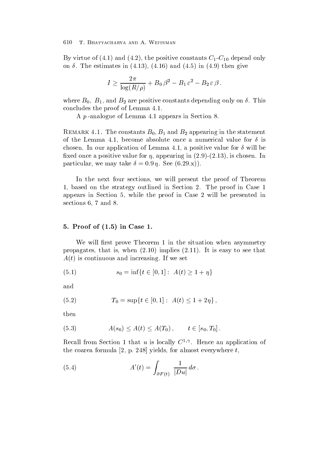By virtue of  $\mathbf{A}$  and  $\mathbf{A}$  and  $\mathbf{A}$  and  $\mathbf{A}$  and  $\mathbf{A}$  are  $\mathbf{A}$  and  $\mathbf{A}$  and  $\mathbf{A}$  are  $\mathbf{A}$  and  $\mathbf{A}$  are  $\mathbf{A}$  and  $\mathbf{A}$  are  $\mathbf{A}$  and  $\mathbf{A}$  are  $\mathbf{A}$  and  $\mathbf{A}$  are  $\mathbf{1}$  in  $\mathbf{1}$  in  $\mathbf{1}$  in  $\mathbf{1}$  in  $\mathbf{1}$  in  $\mathbf{1}$  in  $\mathbf{1}$ 

$$
I \geq \frac{2\pi}{\log(R/\rho)} + B_0 \,\beta^2 - B_1 \,\varepsilon^2 - B_2 \,\varepsilon \,\beta \,.
$$

where  $B_1$  and B are positive constants depending on  $B_1$ concludes the proof of Lemma

A  $p$ -analogue of Lemma 4.1 appears in Section 8.

 $\Gamma$  remarked  $\Gamma$  and  $\Gamma$  and  $\Gamma$  and  $\Gamma$  appearing in the statement of the Lemma 4.1, become absolute once a numerical value for  $\delta$  is chosen. In our application of Lemma 4.1, a positive value for  $\delta$  will be  $x = \frac{1}{2}$  and  $x = \frac{1}{2}$  and  $x = \frac{1}{2}$  and  $x = \frac{1}{2}$  and  $x = \frac{1}{2}$  and  $x = \frac{1}{2}$  and  $x = \frac{1}{2}$  and  $x = \frac{1}{2}$  and  $x = \frac{1}{2}$  and  $x = \frac{1}{2}$  and  $x = \frac{1}{2}$  and  $x = \frac{1}{2}$  and  $x = \frac{1}{2}$  and  $x = \frac{1}{2}$  a particular we may take the second the second state  $\rho$ 

In the next four sections, we will present the proof of Theorem 1, based on the strategy outlined in Section 2. The proof in Case 1 appears in Section 5, while the proof in Case 2 will be presented in sections  $6, 7$  and  $8$ .

### Proof of - in Case -

We will first prove Theorem 1 in the situation when asymmetry  $p = p$  is the set of  $p = p$  is the set of  $p$  is the set of  $p$  is the set of  $p$  is the set of  $p$  is the set of  $p$  $\mathcal{A}$  is continuous and increasing If we set  $\mathcal{A}$ 

(5.1) 
$$
s_0 = \inf\{t \in [0,1]: A(t) \ge 1 + \eta\}
$$

and

(5.2) 
$$
T_0 = \sup\{t \in [0,1]: A(t) \le 1 + 2\eta\},\
$$

then

$$
(5.3) \t\t A(s_0) \le A(t) \le A(T_0), \t t \in [s_0, T_0].
$$

Recall from Section 1 that u is locally  $\cup$   $\vee$ . Hence an application of the coarea formula - p base ( ) almost even the the coarea of  $\alpha$ 

(5.4) 
$$
A'(t) = \int_{\partial F(t)} \frac{1}{|Du|} d\sigma.
$$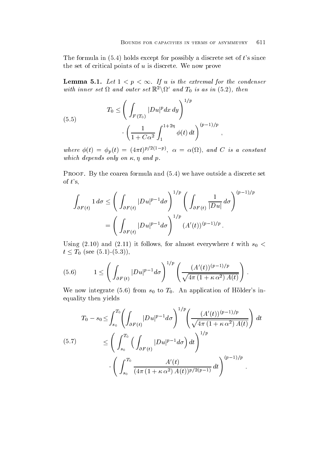The formula in  $\mathbf{h}$  is since  $\mathbf{h}$  and  $\mathbf{h}$  and  $\mathbf{h}$  and  $\mathbf{h}$  and  $\mathbf{h}$  and  $\mathbf{h}$  and  $\mathbf{h}$ the set of critical points of  $u$  is discrete. We now prove

**Lemma 5.1.** Let  $1 \leq p \leq \infty$ . If u is the extremal for the condenser with inner set  $\Omega$  and outer set  $\mathbb{R}^2 \backslash \Omega'$  and  $T_0$  is as in  $(5.2)$ , then

(5.5) 
$$
T_0 \leq \left( \int_{F(T_0)} |Du|^p dx dy \right)^{1/p} \cdot \left( \frac{1}{1 + C\alpha^2} \int_1^{1+2\eta} \phi(t) dt \right)^{(p-1)/p},
$$

where  $\phi(t) = \phi_p(t) = (4\pi t)^{p/2(1-p)}$ ,  $\alpha = \alpha(\Omega)$ , and C is a constant which depends on a set of the p-d-condition on  $\mathcal{A}$  and p-d-condition on  $\mathcal{A}$ 

 $\bullet$  for the coarea formula and  $\bullet$  for the coarea formula and  $\bullet$  . The coarea formula and  $\bullet$  for the coarea formula and  $\bullet$ of  $t$ 's,

$$
\int_{\partial F(t)} 1 d\sigma \le \left( \int_{\partial F(t)} |Du|^{p-1} d\sigma \right)^{1/p} \left( \int_{\partial F(t)} \frac{1}{|Du|} d\sigma \right)^{(p-1)/p}
$$

$$
= \left( \int_{\partial F(t)} |Du|^{p-1} d\sigma \right)^{1/p} (A'(t))^{(p-1)/p}.
$$

Using and it follows for almost everywhere t with s  $t \leq T_0$  (see (5.1)-(5.3)),

(5.6) 
$$
1 \leq \left( \int_{\partial F(t)} |Du|^{p-1} d\sigma \right)^{1/p} \left( \frac{(A'(t))^{(p-1)/p}}{\sqrt{4\pi (1 + \kappa \alpha^2) A(t)}} \right).
$$

where the top computer  $\{ \phi : \phi \}$  is the from the following the form of the top computer in the following the second of the following the second of the second of the second of the second of the second of the second of the equality then yields

$$
(5.7) \qquad\n\begin{aligned}\nT_0 - s_0 &\leq \int_{s_0}^{T_0} \left( \int_{\partial F(t)} |Du|^{p-1} d\sigma \right)^{1/p} \left( \frac{(A'(t))^{(p-1)/p}}{\sqrt{4\pi (1 + \kappa \alpha^2) A(t)}} \right) dt \\
&\leq \left( \int_{s_0}^{T_0} \left( \int_{\partial F(t)} |Du|^{p-1} d\sigma \right) dt \right)^{1/p} \\
&\cdot \left( \int_{s_0}^{T_0} \frac{A'(t)}{(4\pi (1 + \kappa \alpha^2) A(t))^{p/2(p-1)}} dt \right)^{(p-1)/p}.\n\end{aligned}
$$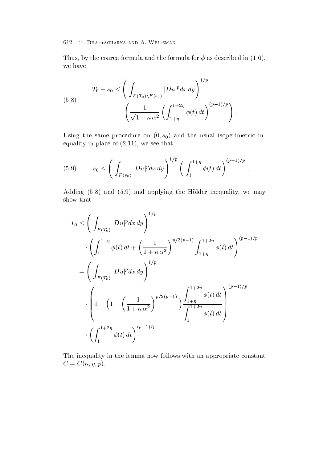Thus by the coarea formula formula formula formula formula formula formula for  $\mathbf{I}$ we have

(5.8) 
$$
T_0 - s_0 \le \left( \int_{F(T_0) \backslash F(s_0)} |Du|^p dx dy \right)^{1/p} \cdot \left( \frac{1}{\sqrt{1 + \kappa \alpha^2}} \left( \int_{1+\eta}^{1+2\eta} \phi(t) dt \right)^{(p-1)/p} \right).
$$

Using the same procedure on - s- and the usual isoperimetric in equality in place of  $\mathcal{N}$  , and  $\mathcal{N}$  is a set that  $\mathcal{N}$  is a set of  $\mathcal{N}$ 

(5.9) 
$$
s_0 \leq \left( \int_{F(s_0)} |Du|^p dx dy \right)^{1/p} \left( \int_1^{1+\eta} \phi(t) dt \right)^{(p-1)/p}.
$$

Adding the Holder integration in the Holder integration in the Holder integration in the Holder in the Holder show that

$$
T_0 \le \left(\int_{F(T_0)} |Du|^p dx dy\right)^{1/p}
$$
  

$$
\cdot \left(\int_1^{1+\eta} \phi(t) dt + \left(\frac{1}{1+\kappa \alpha^2}\right)^{p/2(p-1)} \int_{1+\eta}^{1+2\eta} \phi(t) dt\right)^{(p-1)/p}
$$
  

$$
= \left(\int_{F(T_0)} |Du|^p dx dy\right)^{1/p}
$$
  

$$
\cdot \left(1 - \left(1 - \left(\frac{1}{1+\kappa \alpha^2}\right)^{p/2(p-1)}\right) \frac{\int_{1+\eta}^{1+2\eta} \phi(t) dt}{\int_{1}^{1+2\eta} \phi(t) dt}\right)^{(p-1)/p}
$$
  

$$
\cdot \left(\int_1^{1+2\eta} \phi(t) dt\right)^{(p-1)/p}
$$

The inequality in the lemma now follows with an appropriate constant C C - - p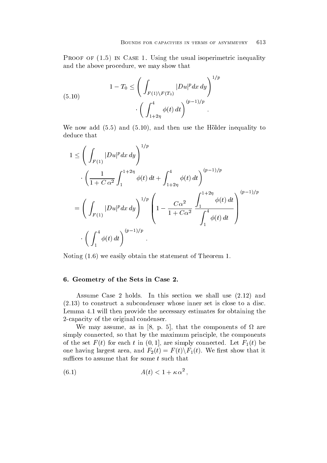Proof of - in Case - Using the usual isoperimetric inequality and the above procedure, we may show that

(5.10) 
$$
1 - T_0 \le \left( \int_{F(1) \backslash F(T_0)} |Du|^p dx dy \right)^{1/p} \cdot \left( \int_{1+2\eta}^4 \phi(t) dt \right)^{(p-1)/p}.
$$

we now a set the Holder interval to the then use the Holder interval to the Holder in the Holder in the Holder deduce that

$$
1 \leq \left(\int_{F(1)} |Du|^p dx dy\right)^{1/p}
$$
  

$$
\cdot \left(\frac{1}{1+C\alpha^2} \int_{1}^{1+2\eta} \phi(t) dt + \int_{1+2\eta}^4 \phi(t) dt\right)^{(p-1)/p}
$$
  

$$
= \left(\int_{F(1)} |Du|^p dx dy\right)^{1/p} \left(1 - \frac{C\alpha^2}{1+C\alpha^2} \frac{\int_{1}^{1+2\eta} \phi(t) dt}{\int_{1}^4 \phi(t) dt}\right)^{(p-1)/p}
$$
  

$$
\cdot \left(\int_{1}^4 \phi(t) dt\right)^{(p-1)/p}.
$$

Noting we easily obtain the statement of Theorem

### 6. Geometry of the Sets in Case 2.

 $\blacksquare$  . This section we shall use  $\blacksquare$  this section we shall use  $\blacksquare$  . This section we shall use  $\blacksquare$  $t$ Lemma 4.1 will then provide the necessary estimates for obtaining the 2-capacity of the original condenser.

we may assume a single model as in any assume as in the components of the components of the components of  $\alpha$ simply connected, so that by the maximum principle, the components of the set  $\mathbf{f} = \mathbf{f} \cdot \mathbf{f}$  in an are simply connected Let  $\mathbf{f} = \mathbf{f} \cdot \mathbf{f}$ one having largest area, and  $F_2(t) = F(t) \backslash F_1(t)$ . We first show that it suffices to assume that for some  $t$  such that

$$
(6.1) \t\t A(t) < 1 + \kappa \alpha^2,
$$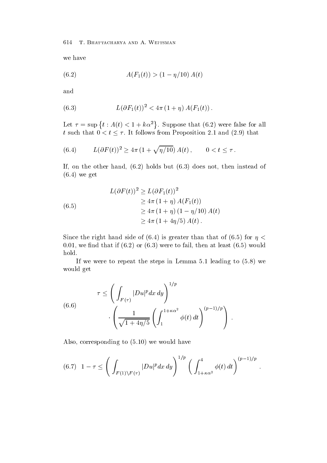we have

(6.2) 
$$
A(F_1(t)) > (1 - \eta/10) A(t)
$$

and

(6.3) 
$$
L(\partial F_1(t))^2 < 4\pi (1+\eta) A(F_1(t)).
$$

Let  $\tau = \sup \{ t : A(t) < 1 + k\alpha^2 \}$ . Suppose that  $(6.2)$  were false for all t such that  $0 < t \leq \tau$ . It follows from Proposition 2.1 and (2.9) that

(6.4) 
$$
L(\partial F(t))^2 \ge 4\pi (1 + \sqrt{\eta/10}) A(t), \qquad 0 < t \le \tau.
$$

If on the other hand  $\mathbf{h}$  of the other hand  $\mathbf{h}$  and  $\mathbf{h}$  $\mathbf{v}$  get  $\mathbf{v}$  get  $\mathbf{v}$  get  $\mathbf{v}$  get  $\mathbf{v}$  get  $\mathbf{v}$  get  $\mathbf{v}$  get  $\mathbf{v}$  get  $\mathbf{v}$  get  $\mathbf{v}$  get  $\mathbf{v}$  get  $\mathbf{v}$  get  $\mathbf{v}$  get  $\mathbf{v}$  get  $\mathbf{v}$  get  $\mathbf{v}$  get  $\mathbf{v}$  get

$$
L(\partial F(t))^{2} \ge L(\partial F_{1}(t))^{2}
$$
  
\n
$$
\ge 4\pi (1 + \eta) A(F_{1}(t))
$$
  
\n
$$
\ge 4\pi (1 + \eta) (1 - \eta/10) A(t)
$$
  
\n
$$
\ge 4\pi (1 + 4\eta/5) A(t).
$$

 $S$  is greater than that of  $\mathcal{S}$  is greater than that of  $\mathcal{S}$  is greater than that of  $\mathcal{S}$ who we have the contract of  $\{1,2,3,4\}$  . The failure of the failure of  $\{1,3,4\}$  , we have the contract of the contract of the contract of the contract of the contract of the contract of the contract of the contract o hold

if we were to repeat the steps in Lemma to a step in Level to the steps in Lemma would get

(6.6)  

$$
\tau \leq \left(\int_{F(\tau)} |Du|^p dx dy\right)^{1/p}
$$

$$
\cdot \left(\frac{1}{\sqrt{1+4\eta/5}} \left(\int_1^{1+\kappa\alpha^2} \phi(t) dt\right)^{(p-1)/p}\right).
$$

Also corresponding to we would have

$$
(6.7) \quad 1-\tau \leq \left(\int_{F(1)\backslash F(\tau)} |Du|^p dx dy\right)^{1/p} \left(\int_{1+\kappa\alpha^2}^{4} \phi(t) dt\right)^{(p-1)/p}.
$$

 $\ddot{\phantom{a}}$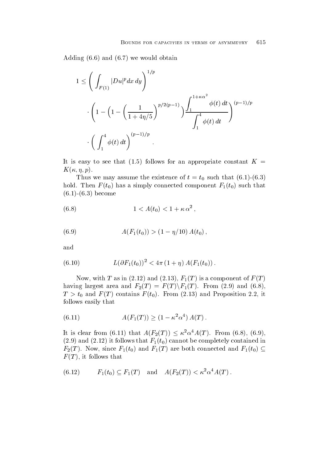Adding the state of the state of the state of the state of the state of the state of the state of the state of

$$
1 \leq \left( \int_{F(1)} |Du|^p dx dy \right)^{1/p}
$$
  

$$
\cdot \left( 1 - \left( 1 - \left( \frac{1}{1 + 4\eta/5} \right)^{p/2(p-1)} \right) \frac{\int_1^{1 + \kappa \alpha^2} \phi(t) dt}{\int_1^4 \phi(t) dt} \right)^{(p-1)/p}
$$
  

$$
\cdot \left( \int_1^4 \phi(t) dt \right)^{(p-1)/p}.
$$

It is the following formulation and the seeds of the second constant and the constant and the constant  $\mathcal{L}$ K - - p

 $\mathbf v$  we may assume that the existence of the existence of the existence of the existence of the existence of the existence of the existence of the existence of the existence of the existence of the existence of the exis hold Then F  $\{A\}$  and  $\{A\}$  and  $\{A\}$  is a simple connected component  $\{A\}$  (  $\{A\}$  ) are component for example  $\{A\}$  $\mathbf{b}$  becomes the component of  $\mathbf{b}$ 

(6.8) 
$$
1 < A(t_0) < 1 + \kappa \alpha^2,
$$

(6.9) 
$$
A(F_1(t_0)) > (1 - \eta/10) A(t_0),
$$

and

(6.10) 
$$
L(\partial F_1(t_0))^2 < 4\pi (1+\eta) A(F_1(t_0)).
$$

Now with T as in and F T is a component of F T having largest area and  $F_2(T) = F(T) \backslash F_1(T)$ . From (2.9) and (6.8), the contract of the contract of the contract of the contract of the contract of  $\tau$  , the function  $\tau$  is the function of  $\{f(t)\}$  . Hence the function  $\tau$  is the function of  $\tau$  and  $\tau$ follows easily that

(6.11) 
$$
A(F_1(T)) \ge (1 - \kappa^2 \alpha^4) A(T).
$$

It is clear from (6.11) that  $A(F_2(T)) \leq \kappa^2 \alpha^4 A(T)$ . From (6.8), (6.9), and it follows that  $\mathbf{r}$  is the contained in the complete induced in the contained in the contained in the contained in the contained in the contained in the contained in the contained in the contained in the containe  $F_2(T)$ . Now, since  $F_1(t_0)$  and  $F_1(T)$  are both connected and  $F_1(t_0) \subseteq$  $\Gamma$  is follows that  $\Gamma$  is follows that  $\Gamma$ 

$$
(6.12) \tF_1(t_0) \subseteq F_1(T) \text{ and } A(F_2(T)) < \kappa^2 \alpha^4 A(T).
$$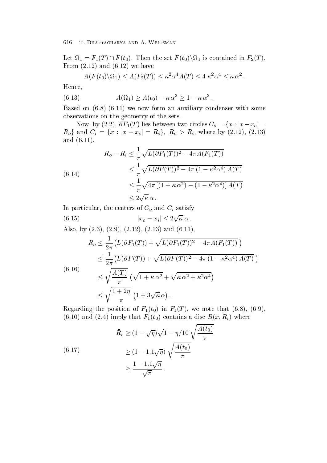Let  $\Omega_1 = F_1(T) \cap F(t_0)$ . Then the set  $F(t_0) \backslash \Omega_1$  is contained in  $F_2(T)$ .  $\mathbf{r}$  and  $\mathbf{r}$  and  $\mathbf{r}$  and  $\mathbf{r}$  and  $\mathbf{r}$  and  $\mathbf{r}$  and  $\mathbf{r}$  and  $\mathbf{r}$  and  $\mathbf{r}$  and  $\mathbf{r}$  and  $\mathbf{r}$  and  $\mathbf{r}$  and  $\mathbf{r}$  and  $\mathbf{r}$  and  $\mathbf{r}$  and  $\mathbf{r}$  and  $\mathbf{r}$  and

$$
A(F(t_0)\backslash\Omega_1)\leq A(F_2(T))\leq \kappa^2\alpha^4 A(T)\leq 4 \kappa^2\alpha^4\leq \kappa \alpha^2.
$$

Hence

(6.13) 
$$
A(\Omega_1) \ge A(t_0) - \kappa \alpha^2 \ge 1 - \kappa \alpha^2.
$$

 $\blacksquare$  and an auxiliary condenser with some condenser  $\mu$  , and the some condenser with some observations on the geometry of the sets

Now, by  $(2.2)$ ,  $\partial F_1(T)$  lies between two circles  $C_o = \{x : |x-x_o| = x_o\}$  $R_o$ } and  $C_i = \{x : |x - x_i| = R_i\}, R_o > R_i$ , where by  $(2.12)$ ,  $(2.13)$ and the contract of the contract of the contract of the contract of the contract of the contract of the contract of the contract of the contract of the contract of the contract of the contract of the contract of the contra

(6.14)  
\n
$$
R_o - R_i \leq \frac{1}{\pi} \sqrt{L(\partial F_1(T))^2 - 4\pi A(F_1(T))}
$$
\n
$$
\leq \frac{1}{\pi} \sqrt{L(\partial F(T))^2 - 4\pi (1 - \kappa^2 \alpha^4) A(T)}
$$
\n
$$
\leq \frac{1}{\pi} \sqrt{4\pi [(1 + \kappa \alpha^2) - (1 - \kappa^2 \alpha^4)] A(T)}
$$
\n
$$
\leq 2\sqrt{\kappa} \alpha.
$$

In particular, the centers of  $C_o$  and  $C_i$  satisfy

(6.15)  
\n
$$
|x_o - x_i| \le 2\sqrt{\kappa} \alpha
$$
.  
\nAlso, by (2.3), (2.9), (2.12), (2.13) and (6.11),  
\n $R_o \le \frac{1}{2\pi} (L(\partial F_1(T)) + \sqrt{L(\partial F_1(T))^2 - 4\pi A(F_1(T))})$   
\n $\le \frac{1}{2\pi} (L(\partial F(T)) + \sqrt{L(\partial F(T))^2 - 4\pi (1 - \kappa^2 \alpha^4) A(T)})$   
\n(6.16)  
\n $\le \sqrt{\frac{A(T)}{\pi}} (\sqrt{1 + \kappa \alpha^2} + \sqrt{\kappa \alpha^2 + \kappa^2 \alpha^4})$   
\n $\le \sqrt{\frac{1 + 2\eta}{\pi}} (1 + 3\sqrt{\kappa} \alpha).$ 

Regarding the position of F t- in F T we note that (0.10) and (2.4) miply that  $F_1(t_0)$  contains a disc  $D(x, t_i)$  where

$$
\bar{R}_i \ge (1 - \sqrt{\eta})\sqrt{1 - \eta/10} \sqrt{\frac{A(t_0)}{\pi}}
$$
\n
$$
\ge (1 - 1.1\sqrt{\eta}) \sqrt{\frac{A(t_0)}{\pi}}
$$
\n
$$
\ge \frac{1 - 1.1\sqrt{\eta}}{\sqrt{\pi}}.
$$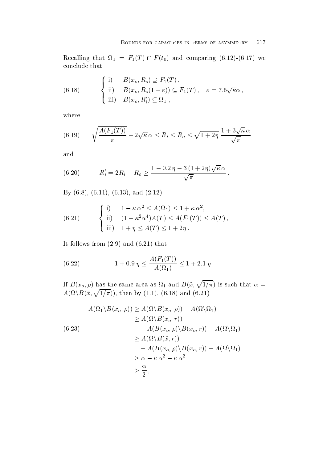Recalling that  $\Omega_1 = F_1(T) \cap F(t_0)$  and comparing (6.12)-(6.17) we conclude that

(6.18) 
$$
\begin{cases} \text{i)} & B(x_o, R_o) \supseteq F_1(T), \\ \text{ii)} & B(x_o, R_o(1-\varepsilon)) \subseteq F_1(T), \quad \varepsilon = 7.5\sqrt{\kappa}\alpha, \\ \text{iii)} & B(x_o, R'_i) \subseteq \Omega_1, \end{cases}
$$

where

(6.19) 
$$
\sqrt{\frac{A(F_1(T))}{\pi}} - 2\sqrt{\kappa} \alpha \le R_i \le R_o \le \sqrt{1+2\eta} \frac{1+3\sqrt{\kappa} \alpha}{\sqrt{\pi}},
$$

and

(6.20) 
$$
R'_i = 2\bar{R}_i - R_o \ge \frac{1 - 0.2\,\eta - 3\,(1 + 2\eta)\sqrt{\kappa}\,\alpha}{\sqrt{\pi}}.
$$

 $\mathcal{L}$  . The contract of the contract of the contract of the contract of the contract of the contract of the contract of the contract of the contract of the contract of the contract of the contract of the contract of th

(6.21) 
$$
\begin{cases} \text{i)} & 1 - \kappa \alpha^2 \leq A(\Omega_1) \leq 1 + \kappa \alpha^2, \\ \text{ii)} & (1 - \kappa^2 \alpha^4) A(T) \leq A(F_1(T)) \leq A(T), \\ \text{iii)} & 1 + \eta \leq A(T) \leq 1 + 2\eta. \end{cases}
$$

It follows from and that

(6.22) 
$$
1 + 0.9 \eta \le \frac{A(F_1(T))}{A(\Omega_1)} \le 1 + 2.1 \eta.
$$

If  $B(x_o, \rho)$  has the same area as  $\Omega_1$  and  $B(\tilde{x}, \sqrt{1/\pi})$  is such that  $\alpha = A(\Omega \setminus B(\tilde{x}, \sqrt{1/\pi}))$ , then by (1.1), (6.18) and (6.21)

$$
A(\Omega_1 \setminus B(x_o, \rho)) \ge A(\Omega \setminus B(x_o, \rho)) - A(\Omega \setminus \Omega_1)
$$
  
\n
$$
\ge A(\Omega \setminus B(x_o, r))
$$
  
\n
$$
- A(B(x_o, \rho) \setminus B(x_o, r)) - A(\Omega \setminus \Omega_1)
$$
  
\n
$$
\ge A(\Omega \setminus B(\tilde{x}, r))
$$
  
\n
$$
- A(B(x_o, \rho) \setminus B(x_o, r)) - A(\Omega \setminus \Omega_1)
$$
  
\n
$$
\ge \alpha - \kappa \alpha^2 - \kappa \alpha^2
$$
  
\n
$$
> \frac{\alpha}{2},
$$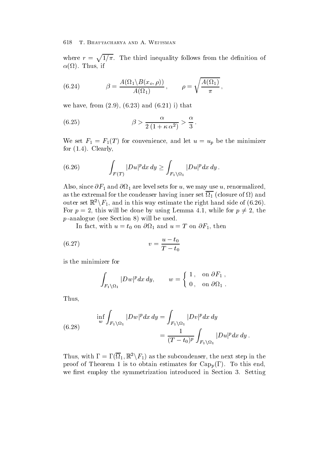where  $r = \sqrt{1/\pi}$ . The third inequality follows from the definition of  $T$  if the interval interval in the interval interval interval in the interval interval interval in the interval interval interval interval in the interval interval interval interval in the interval interval interval inte

(6.24) 
$$
\beta = \frac{A(\Omega_1 \backslash B(x_o, \rho))}{A(\Omega_1)}, \quad \rho = \sqrt{\frac{A(\Omega_1)}{\pi}},
$$

where the from  $\mathbf{f}$  is a set of  $\mathbf{f}$  is a set of  $\mathbf{f}$  is a set of  $\mathbf{f}$  is a set of  $\mathbf{f}$ 

(6.25) 
$$
\beta > \frac{\alpha}{2(1 + \kappa \alpha^2)} > \frac{\alpha}{3}.
$$

We set  $\mathbf{f}$  for an and let up be the minimizer and let up be the minimizer and let up be the minimizer and let for  $\mathbf{r}$  ,  $\mathbf{r}$  ,  $\mathbf{r}$  ,  $\mathbf{r}$  ,  $\mathbf{r}$  ,  $\mathbf{r}$  ,  $\mathbf{r}$  ,  $\mathbf{r}$  ,  $\mathbf{r}$  ,  $\mathbf{r}$  ,  $\mathbf{r}$  ,  $\mathbf{r}$  ,  $\mathbf{r}$  ,  $\mathbf{r}$  ,  $\mathbf{r}$  ,  $\mathbf{r}$  ,  $\mathbf{r}$  ,  $\mathbf{r}$  ,  $\mathbf{r}$  ,  $\mathbf{r}$ 

(6.26) 
$$
\int_{F(T)} |Du|^p dx dy \geq \int_{F_1 \backslash \Omega_1} |Du|^p dx dy.
$$

Also, since  $\partial F_1$  and  $\partial \Omega_1$  are level sets for u, we may use u, renormalized, as the extremal for the condenser having inner set  $\Gamma$  and  $\Gamma$ outer set  $\mathbb{R}^2 \setminus F_1$ , and in this way estimate the right hand side of (6.26). For  $p = 2$ , this will be done by using Lemma 4.1, while for  $p \neq 2$ , the p and the section  $\mathcal{L}$  and  $\mathcal{L}$  is the used of  $\mathcal{L}$ 

 $\mathbf{v}$  is an and uncertainty with uncertainty  $\mathbf{v}$  is a strong value of  $\mathbf{r}$ 

(6.27) 
$$
v = \frac{u - t_0}{T - t_0}
$$

is the minimizer for

$$
\int_{F_1 \setminus \Omega_1} |Dw|^p dx dy, \qquad w = \begin{cases} 1, & \text{on } \partial F_1, \\ 0, & \text{on } \partial \Omega_1. \end{cases}
$$

Thus

(6.28) 
$$
\inf_{w} \int_{F_1 \setminus \Omega_1} |Dw|^p dx dy = \int_{F_1 \setminus \Omega_1} |Dv|^p dx dy
$$

$$
= \frac{1}{(T - t_0)^p} \int_{F_1 \setminus \Omega_1} |Du|^p dx dy.
$$

Thus, with  $\Gamma = \Gamma(\Omega_1, \mathbb{R}^2 \backslash F_1)$  as the subcondenser, the next step in the  $\mathbb P$  is to obtain the state for  $\mathbb P$  to obtain extremely for  $\mathbb P$  and  $\mathbb P$   $\mathbb P$   $\mathbb P$   $\mathbb P$   $\mathbb P$   $\mathbb P$   $\mathbb P$   $\mathbb P$   $\mathbb P$   $\mathbb P$   $\mathbb P$   $\mathbb P$   $\mathbb P$   $\mathbb P$   $\mathbb P$   $\mathbb P$   $\mathbb P$   $\mathbb P$   $\mathbb P$   $\mathbb P$   $\mathbb P$ we first employ the symmetrization introduced in Section 3. Setting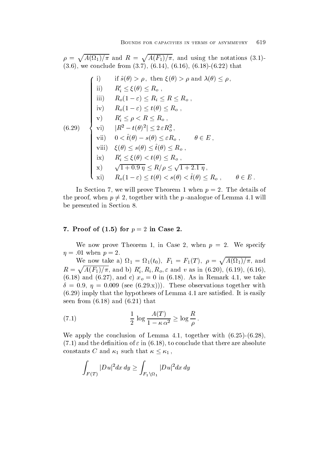$\rho = \sqrt{A(\Omega_1)/\pi}$  and  $R = \sqrt{A(F_1)/\pi}$ , and using the notations (3.1)- $\mathbf{v} = \mathbf{v}$ 

(i) if 
$$
\hat{s}(\theta) > \rho
$$
, then  $\xi(\theta) > \rho$  and  $\lambda(\theta) \leq \rho$ ,

\n(ii)  $R_i' \leq \xi(\theta) \leq R_o$ ,

\n(iii)  $R_o(1-\varepsilon) \leq R_i \leq R \leq R_o$ ,

\n(iv)  $R_o(1-\varepsilon) \leq t(\theta) \leq R_o$ ,

\n(v)  $R_i' \leq \rho < R \leq R_o$ ,

\n(v)  $R_i' \leq \rho < R \leq R_o$ ,

\n(vi)  $|R^2 - t(\theta)^2| \leq 2\varepsilon R_o^2$ ,

\nvii)  $0 < \hat{t}(\theta) - s(\theta) \leq \varepsilon R_o$ ,

\n(viii)  $\xi(\theta) \leq s(\theta) \leq \hat{t}(\theta) \leq R_o$ ,

\n(ix)  $R_i' \leq \xi(\theta) < t(\theta) \leq R_o$ ,

\n(x)  $\sqrt{1+0.9\eta} \leq R/\rho \leq \sqrt{1+2.1\eta}$ ,

\n(xi)  $R_o(1-\varepsilon) \leq t(\theta) < s(\theta) < \hat{t}(\theta) \leq R_o$ ,

\n(i)  $\theta \in E$ .

In Section 7, we will prove Theorem 1 when  $p = 2$ . The details of the proof, when  $p \neq 2$ , together with the p-analogue of Lemma 4.1 will be presented in Section

### $\cdot$  ,  $\cdot$  ,  $\cdot$  ,  $\cdot$  ,  $\cdot$  ,  $\cdot$  ,  $\cdot$  ,  $\cdot$  ,  $\cdot$  ,  $\cdot$  ,  $\cdot$  ,  $\cdot$  ,  $\cdot$  ,  $\cdot$  ,  $\cdot$  ,  $\cdot$  ,  $\cdot$  ,  $\cdot$  ,  $\cdot$  ,  $\cdot$  ,  $\cdot$  ,  $\cdot$  ,  $\cdot$  ,  $\cdot$  ,  $\cdot$  ,  $\cdot$  ,  $\cdot$  ,  $\cdot$  ,  $\cdot$  ,  $\cdot$  ,  $\cdot$  ,  $\cdot$

We now prove Theorem 1, in Case 2, when  $p = 2$ . We specify  $\eta = .01$  when  $p = 2$ .

We now take a)  $\Omega_1 = \Omega_1(t_0)$ ,  $F_1 = F_1(T)$ ,  $\rho = \sqrt{A(\Omega_1)/\pi}$ , and  $R = \sqrt{A(F_1)/\pi}$ , and b)  $R'_i, R_i, R_o, \varepsilon$  and v as in (6.20), (6.19), (6.16) **The Community of the Community of the Community**  $\mathcal{N}$  and  $\mathcal{N}$  and  $\mathcal{N}$  and  $\mathcal{N}$  and  $\mathcal{N}$  are taken in Remark . In the set of  $\mathcal{N}$ see and these observations to the contract of the contract of the contract of the contract of the contract of the contract of the contract of the contract of the contract of the contract of the contract of the contract of is the function of Lemma and the hypotheses of Lemma and It is easily the satisfactory of Lemma ( ) is easily to the satisfactory of Lemma and Section 1999 and 2009 and 2009 and 2009 and 2009 and 2009 and 2009 and 2009 and seen from and that

(7.1) 
$$
\frac{1}{2} \log \frac{A(T)}{1 - \kappa \alpha^2} \ge \log \frac{R}{\rho}.
$$

 $2^{-8}$   $1 - \kappa \alpha^2$   $2^{-8}$   $\rho$ <br>We apply the conclusion of Lemma 4.1, together with (6.25)-(6.28), and the definition of  $\mathbf{f}$  in  $\mathbf{f}$  in  $\mathbf{f}$  is a solute that there are absolute that there are absolute constants C and  $\kappa_1$  such that  $\kappa \leq \kappa_1$ ,

$$
\int_{F(T)} |Du|^2 dx dy \ge \int_{F_1 \backslash \Omega_1} |Du|^2 dx dy
$$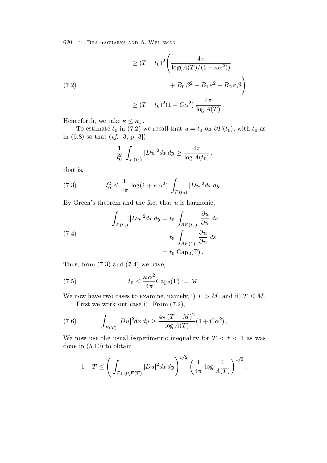$$
\geq (T - t_0)^2 \left( \frac{4\pi}{\log(A(T)/(1 - \kappa \alpha^2))} + B_0 \beta^2 - B_1 \varepsilon^2 - B_2 \varepsilon \beta \right)
$$
  

$$
\geq (T - t_0)^2 (1 + C\alpha^2) \frac{4\pi}{\log A(T)}.
$$

Henceforth, we take  $\kappa \leq \kappa_1$ .

 $\mathbf{v}$  in  $\mathbf{v}$  is that u in  $\mathbf{v}$  is that use  $\mathbf{v}$ in the solution of the solution of the solution of the solution of the solution of the solution of the solution of the solution of the solution of the solution of the solution of the solution of the solution of the soluti

$$
\frac{1}{t_0^2} \int_{F(t_0)} |Du|^2 dx dy \ge \frac{4\pi}{\log A(t_0)},
$$

that is

(7.3) 
$$
t_0^2 \leq \frac{1}{4\pi} \log(1 + \kappa \alpha^2) \int_{F(t_0)} |Du|^2 dx dy.
$$

By Green's theorem and the fact that  $u$  is harmonic,

(7.4)  

$$
\int_{F(t_0)} |Du|^2 dx dy = t_0 \int_{\partial F(t_0)} \frac{\partial u}{\partial n} ds
$$

$$
= t_0 \int_{\partial F(1)} \frac{\partial u}{\partial n} ds
$$

$$
= t_0 \text{Cap}_2(\Gamma).
$$

Thus for  $\mathbf{v}$  is a set of  $\mathbf{v}$  is a set of  $\mathbf{v}$  is a set of  $\mathbf{v}$  is a set of  $\mathbf{v}$ 

(7.5) 
$$
t_0 \leq \frac{\kappa \alpha^2}{4\pi} \text{Cap}_2(\Gamma) := M.
$$

We now have two cases to examine, namely, i)  $T > M$ , and ii)  $T \leq M$ . First we work out case i From 

(7.6) 
$$
\int_{F(T)} |Du|^2 dx dy \geq \frac{4\pi (T-M)^2}{\log A(T)} (1 + C\alpha^2),
$$

We now use the usual isoperimetric inequality for  $T < t < 1$  as was done in the internal contract of the contract of the contract of the contract of the contract of the contract of the contract of the contract of the contract of the contract of the contract of the contract of the contract

$$
1 - T \le \left( \int_{F(1) \backslash F(T)} |Du|^2 dx dy \right)^{1/2} \left( \frac{1}{4\pi} \log \frac{4}{A(T)} \right)^{1/2}.
$$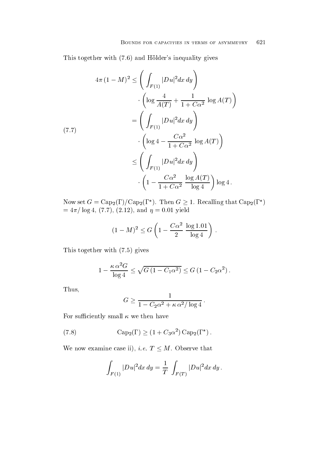This together with  $\mathcal{L}$  to give since  $\mathcal{L}$  and  $\mathcal{L}$  and  $\mathcal{L}$  and  $\mathcal{L}$  and  $\mathcal{L}$  and  $\mathcal{L}$  and  $\mathcal{L}$  and  $\mathcal{L}$  and  $\mathcal{L}$  and  $\mathcal{L}$  and  $\mathcal{L}$  and  $\mathcal{L}$  and  $\mathcal{L}$  and  $\mathcal{L}$  a

$$
4\pi (1 - M)^2 \le \left( \int_{F(1)} |Du|^2 dx dy \right)
$$

$$
\cdot \left( \log \frac{4}{A(T)} + \frac{1}{1 + C\alpha^2} \log A(T) \right)
$$

$$
= \left( \int_{F(1)} |Du|^2 dx dy \right)
$$

$$
\cdot \left( \log 4 - \frac{C\alpha^2}{1 + C\alpha^2} \log A(T) \right)
$$

$$
\le \left( \int_{F(1)} |Du|^2 dx dy \right)
$$

$$
\cdot \left( 1 - \frac{C\alpha^2}{1 + C\alpha^2} \frac{\log A(T)}{\log 4} \right) \log 4.
$$

Now set  $G = \text{Cap}_2(\Gamma)/\text{Cap}_2(\Gamma^*)$ . Then  $G \geq 1$ . Recalling that  $\text{Cap}_2(\Gamma^*)$ log - Andrie - Andrie - Andrie - Andrie - Andrie - Andrie - Andrie - Andrie - Andrie - Andrie - Andrie - Andri

$$
(1 - M)^2 \le G \left( 1 - \frac{C\alpha^2}{2} \frac{\log 1.01}{\log 4} \right) .
$$

 $\blacksquare$   $\blacksquare$   $\blacksquare$   $\blacksquare$   $\blacksquare$   $\blacksquare$   $\blacksquare$   $\blacksquare$   $\blacksquare$   $\blacksquare$   $\blacksquare$   $\blacksquare$   $\blacksquare$   $\blacksquare$   $\blacksquare$   $\blacksquare$   $\blacksquare$   $\blacksquare$   $\blacksquare$   $\blacksquare$   $\blacksquare$   $\blacksquare$   $\blacksquare$   $\blacksquare$   $\blacksquare$   $\blacksquare$   $\blacksquare$   $\blacksquare$   $\blacksquare$   $\blacksquare$   $\blacksquare$   $\blacks$ 

$$
1 - \frac{\kappa \alpha^2 G}{\log 4} \le \sqrt{G \left(1 - C_1 \alpha^2\right)} \le G \left(1 - C_2 \alpha^2\right).
$$

Thus

$$
G \ge \frac{1}{1 - C_2 \alpha^2 + \kappa \alpha^2 / \log 4}.
$$

 $\ddot{\phantom{1}}$ 

For sufficiently small  $\kappa$  we then have

(7.8) 
$$
Cap_2(\Gamma) \ge (1 + C_3 \alpha^2) Cap_2(\Gamma^*) .
$$

We now examine case ii), *i.e.*  $T \leq M$ . Observe that

$$
\int_{F(1)} |Du|^2 dx dy = \frac{1}{T} \int_{F(T)} |Du|^2 dx dy.
$$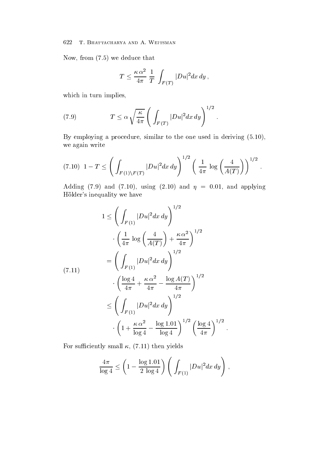Now from a week of the second contract that the second contract of the second contract of the second contract of

$$
T \le \frac{\kappa \alpha^2}{4\pi} \frac{1}{T} \int_{F(T)} |Du|^2 dx dy,
$$

which in turn implies,

(7.9) 
$$
T \leq \alpha \sqrt{\frac{\kappa}{4\pi}} \left( \int_{F(T)} |Du|^2 dx dy \right)^{1/2}.
$$

By employing a procedure similar to the one used in deriving we again write

$$
(7.10) \ \ 1 - T \le \left( \int_{F(1)\backslash F(T)} |Du|^2 dx \, dy \right)^{1/2} \left( \frac{1}{4\pi} \log \left( \frac{4}{A(T)} \right) \right)^{1/2} \, .
$$

Adding to the state of the state of the state of the state of the state of the state of the state of the state o Hölder's inequality we have

$$
1 \leq \left(\int_{F(1)} |Du|^2 dx dy\right)^{1/2}
$$

$$
\cdot \left(\frac{1}{4\pi} \log \left(\frac{4}{A(T)}\right) + \frac{\kappa \alpha^2}{4\pi}\right)^{1/2}
$$

$$
= \left(\int_{F(1)} |Du|^2 dx dy\right)^{1/2}
$$

$$
\cdot \left(\frac{\log 4}{4\pi} + \frac{\kappa \alpha^2}{4\pi} - \frac{\log A(T)}{4\pi}\right)^{1/2}
$$

$$
\leq \left(\int_{F(1)} |Du|^2 dx dy\right)^{1/2}
$$

$$
\cdot \left(1 + \frac{\kappa \alpha^2}{\log 4} - \frac{\log 1.01}{\log 4}\right)^{1/2} \left(\frac{\log 4}{4\pi}\right)^{1/2}.
$$

For such that is a subset of the such a subset of the such a subset of the such a subset of the such a subset of the such a subset of the such a subset of the such a subset of the such a subset of the such a subset of the

$$
\frac{4\pi}{\log 4}\leq \left(1-\frac{\log 1.01}{2\log 4}\right)\left(\int_{F(1)}|Du|^2dx\,dy\right)\,,
$$

 $\sim$  .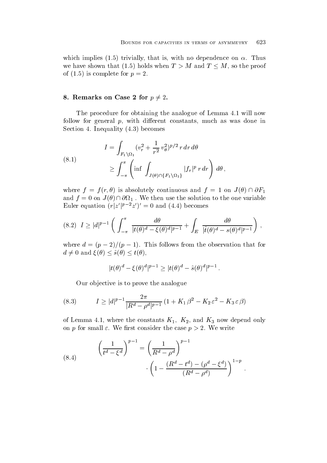which implies  $\mathbf{r}$  is with a strivially that is with no dependence on  $\mathbf{r}$ we have shown that (1.5) holds when  $T > M$  and  $T \leq M$ , so the proof of the complete form of the complete form of the complete form of the complete form of the complete form of the

### 8. Remarks on Case 2 for  $p \neq 2$ .

The procedure for obtaining the analogue of Lemma 4.1 will now follow for general  $p$ , with different constants, much as was done in Section and  $\mathcal{S}$  are a section of  $\mathcal{S}$  . In the computation of  $\mathcal{S}$ 

(8.1)  

$$
I = \int_{F_1 \setminus \Omega_1} (v_r^2 + \frac{1}{r^2} v_\theta^2)^{p/2} r dr d\theta
$$

$$
\geq \int_{-\pi}^{\pi} \left( \inf \int_{J(\theta) \cap \{F_1 \setminus \Omega_1\}} |f_r|^p r dr \right) d\theta,
$$

where  $f = f(r, \theta)$  is absolutely continuous and  $f = 1$  on  $J(\theta) \cap \partial F_1$ and  $f = 0$  on  $J(\theta) \cap \partial \Omega_1$ . We then use the solution to the one variable Euler equation  $(r|z'|^{p-2}z')' = 0$  and  $(4.4)$  becomes

$$
(8.2) \quad I \ge |d|^{p-1} \left( \int_{-\pi}^{\pi} \frac{d\theta}{|t(\theta)^d - \xi(\theta)^d|^{p-1}} + \int_{E} \frac{d\theta}{|\hat{t}(\theta)^d - s(\theta)^d|^{p-1}} \right) \,,
$$

where  $a = (p - 2)/(\bar{p} - 1)$ . This follows from the observation that for  $d \neq 0$  and  $\xi(\theta) \leq \hat{s}(\theta) \leq t(\theta)$ ,

$$
|t(\theta)^d - \xi(\theta)^d|^{p-1} \ge |t(\theta)^d - \hat{s}(\theta)^d|^{p-1}.
$$

Our objective is to prove the analogue

(8.3) 
$$
I \ge |d|^{p-1} \frac{2\pi}{|R^d - \rho^d|^{p-1}} (1 + K_1 \beta^2 - K_2 \varepsilon^2 - K_3 \varepsilon \beta)
$$

of Lemma where the constants K- K- and K now depend only on p for small  $\varepsilon$ . We first consider the case  $p > 2$ . We write

(8.4) 
$$
\left(\frac{1}{t^d - \xi^d}\right)^{p-1} = \left(\frac{1}{R^d - \rho^d}\right)^{p-1} \cdot \left(1 - \frac{(R^d - t^d) - (\rho^d - \xi^d)}{(R^d - \rho^d)}\right)^{1-p}.
$$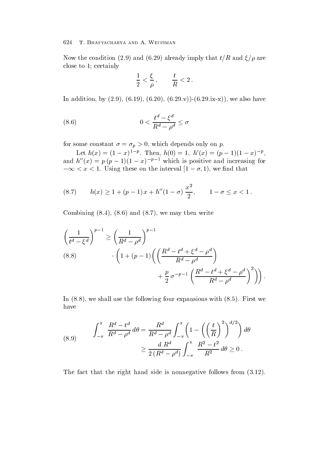Now the condition of the condition of the condition of the condition of the condition of the condition of the condition of the condition of the condition of the condition of the condition of the condition of the condition close to 1; certainly

$$
\frac{1}{2}<\frac{\xi}{\rho}\,,\qquad \frac{t}{R}<2\,.
$$

 $\mathbf{v} = \mathbf{v} + \mathbf{v} + \mathbf{v} + \mathbf{v} + \mathbf{v} + \mathbf{v} + \mathbf{v} + \mathbf{v} + \mathbf{v} + \mathbf{v} + \mathbf{v} + \mathbf{v} + \mathbf{v} + \mathbf{v} + \mathbf{v} + \mathbf{v} + \mathbf{v} + \mathbf{v} + \mathbf{v} + \mathbf{v} + \mathbf{v} + \mathbf{v} + \mathbf{v} + \mathbf{v} + \mathbf{v} + \mathbf{v} + \mathbf{v} + \mathbf{v} + \mathbf{v} + \mathbf{v} + \mathbf$ 

(8.6) 
$$
0 < \frac{t^d - \xi^d}{R^d - \rho^d} \leq \sigma
$$

for some constant  $p$  is a some constant on proposition of  $p$  is a some constant on proposition on  $p$ 

Let  $h(x) = (1-x)^{1-p}$ . Then,  $h(0) = 1$ ,  $h'(x) = (p-1)(1-x)^{-p}$ ,<br>and  $h''(x) = p(p-1)(1-x)^{-p-1}$  which is positive and increasing for  $-\infty < x < 1$ . Using these on the interval  $|1-\sigma,1\rangle$ , we find that

(8.7) 
$$
h(x) \ge 1 + (p-1)x + h''(1-\sigma) \frac{x^2}{2}, \qquad 1-\sigma \le x < 1.
$$

Combining and we may then write

$$
\left(\frac{1}{t^d - \xi^d}\right)^{p-1} \ge \left(\frac{1}{R^d - \rho^d}\right)^{p-1}
$$
\n
$$
(8.8) \qquad \qquad \cdot \left(1 + (p-1)\left(\left(\frac{R^d - t^d + \xi^d - \rho^d}{R^d - \rho^d}\right) + \frac{p}{2}\sigma^{-p-1}\left(\frac{R^d - t^d + \xi^d - \rho^d}{R^d - \rho^d}\right)^2\right)\right).
$$

In the following four expansions with  $\mathbb{F}_p$  is the following four expansions with  $\mathbb{F}_p$  is the following four expansions with  $\mathbb{F}_p$  is the following four expansions with  $\mathbb{F}_p$  is the following four expansi have

(8.9) 
$$
\int_{-\pi}^{\pi} \frac{R^d - t^d}{R^d - \rho^d} d\theta = \frac{R^d}{R^d - \rho^d} \int_{-\pi}^{\pi} \left( 1 - \left( \left( \frac{t}{R} \right)^2 \right)^{d/2} \right) d\theta
$$

$$
\geq \frac{d R^d}{2 (R^d - \rho^d)} \int_{-\pi}^{\pi} \frac{R^2 - t^2}{R^2} d\theta \geq 0.
$$

The fact that the right hand side is non-negative follows from  $f$  is non-negative follows from  $f$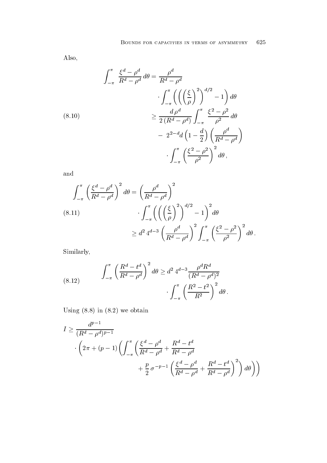Also

$$
\int_{-\pi}^{\pi} \frac{\xi^d - \rho^d}{R^d - \rho^d} d\theta = \frac{\rho^d}{R^d - \rho^d}
$$

$$
\cdot \int_{-\pi}^{\pi} \left( \left( \left( \frac{\xi}{\rho} \right)^2 \right)^{d/2} - 1 \right) d\theta
$$

$$
\geq \frac{d \rho^d}{2 \left( R^d - \rho^d \right)} \int_{-\pi}^{\pi} \frac{\xi^2 - \rho^2}{\rho^2} d\theta
$$

$$
- 2^{2-d} d \left( 1 - \frac{d}{2} \right) \left( \frac{\rho^d}{R^d - \rho^d} \right)
$$

$$
\cdot \int_{-\pi}^{\pi} \left( \frac{\xi^2 - \rho^2}{\rho^2} \right)^2 d\theta,
$$

and

$$
\int_{-\pi}^{\pi} \left(\frac{\xi^d - \rho^d}{R^d - \rho^d}\right)^2 d\theta = \left(\frac{\rho^d}{R^d - \rho^d}\right)^2
$$
\n
$$
\int_{-\pi}^{\pi} \left(\left(\left(\frac{\xi}{\rho}\right)^2\right)^{d/2} - 1\right)^2 d\theta
$$
\n
$$
\geq d^2 4^{d-3} \left(\frac{\rho^d}{R^d - \rho^d}\right)^2 \int_{-\pi}^{\pi} \left(\frac{\xi^2 - \rho^2}{\rho^2}\right)^2 d\theta.
$$

Similarly

(8.12) 
$$
\int_{-\pi}^{\pi} \left( \frac{R^d - t^d}{R^d - \rho^d} \right)^2 d\theta \geq d^2 4^{d-3} \frac{\rho^d R^d}{(R^d - \rho^d)^2} \cdot \int_{-\pi}^{\pi} \left( \frac{R^2 - t^2}{R^2} \right)^2 d\theta.
$$

 $\mathbb{R}^n$  in a state of  $\mathbb{R}^n$  in a state of  $\mathbb{R}^n$ 

$$
I \ge \frac{d^{p-1}}{(R^d - \rho^d)^{p-1}}
$$

$$
\cdot \left(2\pi + (p-1)\left(\int_{-\pi}^{\pi} \left(\frac{\xi^d - \rho^d}{R^d - \rho^d} + \frac{R^d - t^d}{R^d - \rho^d}\right) + \frac{p}{2}\sigma^{-p-1}\left(\frac{\xi^d - \rho^d}{R^d - \rho^d} + \frac{R^d - t^d}{R^d - \rho^d}\right)^2\right)d\theta\right)\right)
$$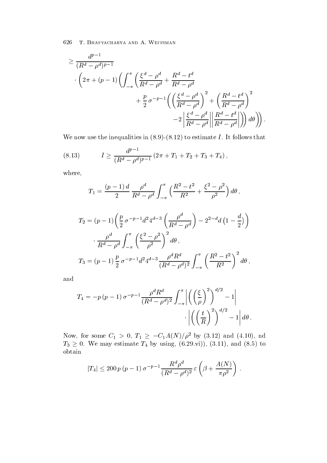$$
\geq \frac{d^{p-1}}{(R^d - \rho^d)^{p-1}} \cdot \left(2\pi + (p-1)\left(\int_{-\pi}^{\pi} \left(\frac{\xi^d - \rho^d}{R^d - \rho^d} + \frac{R^d - t^d}{R^d - \rho^d}\right)^2 + \frac{p}{2}\sigma^{-p-1}\left(\left(\frac{\xi^d - \rho^d}{R^d - \rho^d}\right)^2 + \left(\frac{R^d - t^d}{R^d - \rho^d}\right)^2\right)\right)
$$

$$
-2\left|\frac{\xi^d - \rho^d}{R^d - \rho^d}\right| \left|\frac{R^d - t^d}{R^d - \rho^d}\right|\right) d\theta\right).
$$

We now use the inequalities in  $\mathcal{N} = \mathcal{N}$  in  $\mathcal{N} = \mathcal{N}$  is follows that is follows that is follows that

(8.13) 
$$
I \ge \frac{d^{p-1}}{(R^d - \rho^d)^{p-1}} (2\pi + T_1 + T_2 + T_3 + T_4),
$$

where

$$
T_1 = \frac{(p-1)d}{2} \frac{\rho^d}{R^d - \rho^d} \int_{-\pi}^{\pi} \left( \frac{R^2 - t^2}{R^2} + \frac{\xi^2 - \rho^2}{\rho^2} \right) d\theta,
$$
  
\n
$$
T_2 = (p-1) \left( \frac{p}{2} \sigma^{-p-1} d^2 4^{d-3} \left( \frac{\rho^d}{R^d - \rho^d} \right) - 2^{2-d} d \left( 1 - \frac{d}{2} \right) \right)
$$
  
\n
$$
\cdot \frac{\rho^d}{R^d - \rho^d} \int_{-\pi}^{\pi} \left( \frac{\xi^2 - \rho^2}{\rho^2} \right)^2 d\theta,
$$
  
\n
$$
T_3 = (p-1) \frac{p}{2} \sigma^{-p-1} d^2 4^{d-3} \frac{\rho^d R^d}{(R^d - \rho^d)^2} \int_{-\pi}^{\pi} \left( \frac{R^2 - t^2}{R^2} \right)^2 d\theta,
$$

and

$$
T_4 = -p(p-1)\sigma^{-p-1} \frac{\rho^d R^d}{(R^d - \rho^d)^2} \int_{-\pi}^{\pi} \left| \left( \left( \frac{\xi}{\rho} \right)^2 \right)^{d/2} - 1 \right|
$$

$$
\cdot \left| \left( \left( \frac{t}{R} \right)^2 \right)^{d/2} - 1 \right| d\theta.
$$

Now, for some  $C_1 > 0$ ,  $T_1 \ge -C_1 A(N)/\rho^2$  by (3.12) and (4.10), nd<br>  $T_3 \ge 0$ . We may estimate  $T_4$  by using, (6.29.vi)), (3.11), and (8.5) to obtain

$$
|T_4|\leq 200\,p\,(p-1)\,\sigma^{-p-1}\frac{R^d\rho^d}{(R^d-\rho^d)^2}\,\varepsilon\left(\beta+\frac{A(N)}{\pi\rho^2}\right)\,.
$$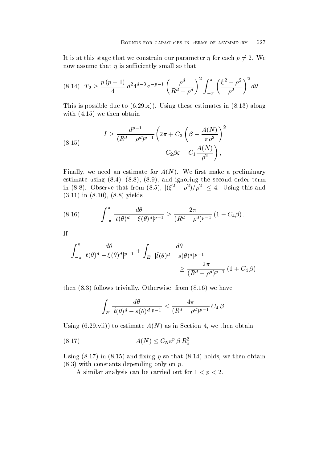It is at this stage that we constrain our parameter  $\eta$  for each  $p \neq 2$ . We now assume that  $\eta$  is sufficiently small so that

$$
(8.14) \quad T_2 \ge \frac{p(p-1)}{4} d^2 4^{d-3} \sigma^{-p-1} \left(\frac{\rho^d}{R^d - \rho^d}\right)^2 \int_{-\pi}^{\pi} \left(\frac{\xi^2 - \rho^2}{\rho^2}\right)^2 d\theta \,.
$$

This is possible due to  $\{0.12, 1.12, 0.011, 0.011, 0.011, 0.011, 0.011, 0.011, 0.011, 0.011, 0.011, 0.011, 0.011, 0.011, 0.011, 0.011, 0.011, 0.011, 0.011, 0.011, 0.011, 0.011, 0.011, 0.011, 0.011, 0.011, 0.011, 0.011, 0$ where  $\mathbf{v}$  is the obtained by the obtained by the set of  $\mathbf{v}$ 

(8.15) 
$$
I \geq \frac{d^{p-1}}{(R^d - \rho^d)^{p-1}} \left(2\pi + C_3 \left(\beta - \frac{A(N)}{\pi \rho^2}\right)^2 - C_2 \beta \varepsilon - C_1 \frac{A(N)}{\rho^2}\right),
$$

Finally we need an estimate for A N We rst make a preliminary estimates the second  $\alpha$  is the second order term in the second order term is a second order term in the second order term is a second order term in the second order term is a second order term in the second order term i in (8.8). Observe that from  $(8.5)$ ,  $|(\xi^2 - \rho^2)/\rho^2| \leq 4$ . Using this and  $\mathbf{v} = \mathbf{v}$  , we can also the contract of  $\mathbf{v}$ 

(8.16) 
$$
\int_{-\pi}^{\pi} \frac{d\theta}{|t(\theta)^d - \xi(\theta)^d|^{p-1}} \geq \frac{2\pi}{(R^d - \rho^d)^{p-1}} (1 - C_4 \beta).
$$

If

$$
\int_{-\pi}^{\pi} \frac{d\theta}{|t(\theta)^d - \xi(\theta)^d|^{p-1}} + \int_{E} \frac{d\theta}{|\hat{t}(\theta)^d - s(\theta)^d|^{p-1}} \ge \frac{2\pi}{(R^d - \rho^d)^{p-1}} (1 + C_4 \beta),
$$

the following trivially of the from the following trivially of the following trivial and the following trivial of the following trivial and the following transformation of the following transformation of the following tran

$$
\int_E \frac{d\theta}{|\hat{t}(\theta)^d - s(\theta)^d|^{p-1}} \le \frac{4\pi}{(R^d - \rho^d)^{p-1}} C_4 \beta.
$$

using a structure and the section of the section of the section of the section of the section of the section of

$$
(8.17) \t\t A(N) \leq C_5 \,\varepsilon^p \,\beta \, R_o^2 \ .
$$

Using  $\{0,1,2,3,4,5\}$  and  $\{1,2,3,4,5\}$  in  $\{1,2,3,4,5\}$  . Then  $\{1,2,3,4,5\}$  is the solution of  $\{1,2,3,4\}$  $\mathcal{L}_{\mathcal{L}}$  , we depend on the probability of property on property on property on  $\mathcal{L}_{\mathcal{L}}$ 

A similar analysis can be carried out for  $1 < p < 2$ .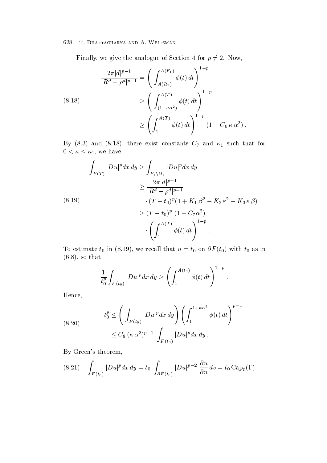Finally, we give the analogue of Section 4 for  $p \neq 2$ . Now,

$$
\frac{2\pi |d|^{p-1}}{|R^d - \rho^d|^{p-1}} = \left(\int_{A(\Omega_1)}^{A(F_1)} \phi(t) dt\right)^{1-p}
$$
\n
$$
\geq \left(\int_{(1-\kappa\alpha^2)}^{A(T)} \phi(t) dt\right)^{1-p}
$$
\n
$$
\geq \left(\int_1^{A(T)} \phi(t) dt\right)^{1-p} (1 - C_6 \kappa \alpha^2).
$$

 $0 < \kappa \leq \kappa_1$ , we have

$$
\int_{F(T)} |Du|^p dx dy \ge \int_{F_1 \setminus \Omega_1} |Du|^p dx dy
$$
\n
$$
\ge \frac{2\pi |d|^{p-1}}{|R^d - \rho^d|^{p-1}} \cdot (T - t_0)^p (1 + K_1 \beta^2 - K_2 \varepsilon^2 - K_3 \varepsilon \beta)
$$
\n
$$
\ge (T - t_0)^p (1 + C_7 \alpha^2)
$$
\n
$$
\cdot \left( \int_1^{A(T)} \phi(t) dt \right)^{1-p}
$$

To estimate the set of  $\alpha$  in the F  $\alpha$  terms of  $\alpha$  in the  $\alpha$  in  $\alpha$  in the set of  $\alpha$  $s \sim t$  , which is the set of  $s$ 

$$
\frac{1}{t_0^p} \int_{F(t_0)} |Du|^p dx dy \ge \left( \int_1^{A(t_0)} \phi(t) dt \right)^{1-p}.
$$

Hence

(8.20) 
$$
t_0^p \le \left( \int_{F(t_0)} |Du|^p dx dy \right) \left( \int_1^{1+\kappa \alpha^2} \phi(t) dt \right)^{p-1} \le C_8 (\kappa \alpha^2)^{p-1} \int_{F(t_0)} |Du|^p dx dy.
$$

By Green's theorem,

(8.21) 
$$
\int_{F(t_0)} |Du|^p dx dy = t_0 \int_{\partial F(t_0)} |Du|^{p-2} \frac{\partial u}{\partial n} ds = t_0 \operatorname{Cap}_p(\Gamma).
$$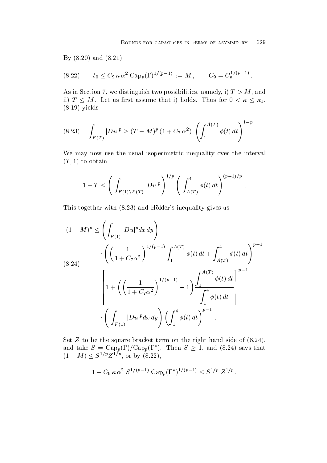$\mathcal{A}$  and  $\mathcal{A}$  and  $\mathcal{A}$  and  $\mathcal{A}$  and  $\mathcal{A}$  and  $\mathcal{A}$  and  $\mathcal{A}$  and  $\mathcal{A}$  and  $\mathcal{A}$  and  $\mathcal{A}$  and  $\mathcal{A}$  and  $\mathcal{A}$  and  $\mathcal{A}$  and  $\mathcal{A}$  and  $\mathcal{A}$  and  $\mathcal{A}$  and  $\mathcal{A}$  and

$$
(8.22) \t t_0 \leq C_9 \kappa \alpha^2 \text{ Cap}_p(\Gamma)^{1/(p-1)} := M , \t C_9 = C_8^{1/(p-1)} .
$$

As in Section , we distinguish two possibilities  $\alpha$  ,  $\alpha$  , and the section  $\alpha$ ii)  $T \leq M$ . Let us first assume that i) holds. Thus for  $0 \lt \kappa \leq \kappa_1$ , yellow the contract of the contract of the contract of the contract of the contract of the contract of the contract of the contract of the contract of the contract of the contract of the contract of the contract of the con

$$
(8.23) \quad \int_{F(T)} |Du|^p \ge (T-M)^p (1 + C_7 \alpha^2) \left( \int_1^{A(T)} \phi(t) dt \right)^{1-p}.
$$

We may now use the usual isoperimetric inequality over the interval  $\mathbf{t}$  to obtain the set of  $\mathbf{t}$  and  $\mathbf{t}$  are set of  $\mathbf{t}$ 

$$
1-T \leq \Bigg(\int_{F(1)\backslash F(T)} |Du|^p\Bigg)^{1/p} \Bigg(\int_{A(T)}^4 \phi(t)\,dt\Bigg)^{(p-1)/p}\;.
$$

This together with and Holders inequality gives us

$$
(1 - M)^p \le \left( \int_{F(1)} |Du|^p dx dy \right)
$$
  
\n
$$
\cdot \left( \left( \frac{1}{1 + C_7 \alpha^2} \right)^{1/(p-1)} \int_1^{A(T)} \phi(t) dt + \int_{A(T)}^4 \phi(t) dt \right)^{p-1}
$$
  
\n
$$
= \left[ 1 + \left( \left( \frac{1}{1 + C_7 \alpha^2} \right)^{1/(p-1)} - 1 \right) \frac{\int_1^{A(T)} \phi(t) dt}{\int_1^4 \phi(t) dt} \right]^{p-1}
$$
  
\n
$$
\cdot \left( \int_{F(1)} |Du|^p dx dy \right) \left( \int_1^4 \phi(t) dt \right)^{p-1}
$$

 $\mathcal{L}$  to be the square bracket term on the right hand side of the right hand side of the right hand side of the right hand side of the right hand side of the right hand side of the right hand side of the right hand sid and take  $S = \text{Cap}_p(\Gamma)/\text{Cap}_p(\Gamma^*)$ . Then  $S \geq 1$ , and (8.24) says that  $(1-M) \leq S^{1/p} Z^{1/p}$ , or by  $(8.22)$ ,

$$
1 - C_9 \kappa \alpha^2 S^{1/(p-1)} \text{Cap}_p(\Gamma^*)^{1/(p-1)} \leq S^{1/p} Z^{1/p}.
$$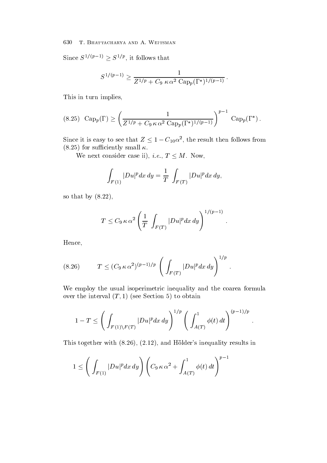Since  $S^{1/(p-1)} \geq S^{1/p}$ , it follows that

$$
S^{1/(p-1)} \geq \frac{1}{Z^{1/p} + C_9\ \kappa\,\alpha^2\ {\rm Cap}_p(\Gamma^*)^{1/(p-1)}}\,.
$$

This in turn implies

$$
(8.25) \ \text{Cap}_p(\Gamma) \ge \left(\frac{1}{Z^{1/p} + C_9 \kappa \alpha^2 \text{Cap}_p(\Gamma^*)^{1/(p-1)}}\right)^{p-1} \text{Cap}_p(\Gamma^*)\,.
$$

Since it is easy to see that  $Z \leq 1 - C_{10}\alpha^2$ , the result then follows from for such that is small small small small small small small small small small small small small small small small small small small small small small small small small small small small small small small small small small

We next consider case ii), *i.e.*,  $T \leq M$ . Now,

$$
\int_{F(1)} |Du|^p dx dy = \frac{1}{T} \int_{F(T)} |Du|^p dx dy,
$$

so that by  $\mathbf{S}$  that by  $\mathbf{S}$  that by  $\mathbf{S}$  that by  $\mathbf{S}$ 

$$
T\leq C_9\,\kappa\,\alpha^2\left(\frac{1}{T}\,\int_{F\left(T\right)}|Du|^pdx\,dy\right)^{1/(p-1)}\,.
$$

 $\ddot{\phantom{a}}$ 

 $\ddot{\phantom{1}}$ 

Hence

(8.26) 
$$
T \le (C_9 \kappa \alpha^2)^{(p-1)/p} \left( \int_{F(T)} |Du|^p dx dy \right)^{1/p}.
$$

We employ the usual isoperimetric inequality and the coarea formula over the interval T - see Section to obtain

$$
1 - T \le \left( \int_{F(1) \backslash F(T)} |Du|^p dx dy \right)^{1/p} \left( \int_{A(T)}^1 \phi(t) dt \right)^{(p-1)/p}.
$$

This together with  $\mathbf{H}$  in the substitution of the  $\mathbf{H}$  into  $\mathbf{H}$ 

$$
1 \leq \Bigg(\int_{F(1)} |Du|^p dx\,dy\Bigg)\, \Bigg(C_9\,\kappa\,\alpha^2 + \int_{A(T)}^1 \phi(t)\,dt\Bigg)^{p-1}
$$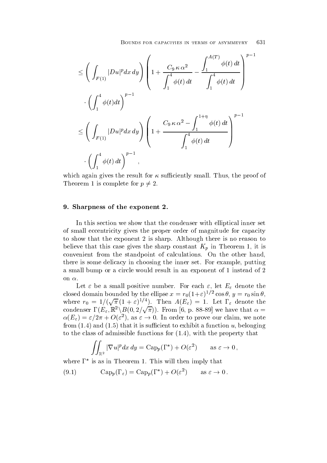$$
\leq \left(\int_{F(1)} |Du|^p dx dy\right) \left(1 + \frac{C_9 \kappa \alpha^2}{\int_1^4 \phi(t) dt} - \frac{\int_1^{A(T)} \phi(t) dt}{\int_1^4 \phi(t) dt}\right)^{p-1} \cdot \left(\int_1^4 \phi(t) dt\right)^{p-1} \leq \left(\int_{F(1)} |Du|^p dx dy\right) \left(1 + \frac{C_9 \kappa \alpha^2 - \int_1^{1+\eta} \phi(t) dt}{\int_1^4 \phi(t) dt}\right)^{p-1} \cdot \left(\int_1^4 \phi(t) dt\right)^{p-1},
$$

which again gives the result for  $\kappa$  sufficiently small. Thus, the proof of Theorem 1 is complete for  $p \neq 2$ .

### 9. Sharpness of the exponent 2.

In this section we show that the condenser with elliptical inner set of small eccentricity gives the proper order of magnitude for capacity to show that the exponent 2 is sharp. Although there is no reason to believe that this case gives the sharp constant  $K_p$  in Theorem 1, it is convenient from the standpoint of calculations. On the other hand, there is some delicacy in choosing the inner set. For example, putting a small bump or a circle would result in an exponent of 1 instead of 2

on  $\alpha$ .<br>Let  $\varepsilon$  be a small positive number. For each  $\varepsilon$ , let  $E_{\varepsilon}$  denote the closed domain bounded by the empse  $x = r_0(1+\varepsilon)^{1/2} \cos \theta, y = r_0 \sin \theta,$ <br>where  $r_0 = 1/(\sqrt{\pi} (1+\varepsilon)^{1/4})$ . Then  $A(E_{\varepsilon}) = 1$ . Let  $\Gamma_{\varepsilon}$  denote the condenser  $\Gamma(E_{\varepsilon}, \mathbb{R}^2 \backslash B(0, 2/\sqrt{\pi}))$ . From [6, p. 88-89] we have that  $\alpha =$  $\alpha(E_{\varepsilon})=\varepsilon/2\pi+O(\varepsilon^2)$ , as  $\varepsilon\to 0$ . In order to prove our claim, we note from  $\mathbf{f}$  is that it is such that it is such that it is such that it is such that it is such that it is such that it is such that it is such that it is such that it is such that it is such that it is such that it is s to the communications for a series for  $\{ \bullet \colon \bullet \neq \emptyset, \bullet \in \mathbb{N} \}$  , the property that  $\mathcal{S}$ 

$$
\iint_{\mathbb{R}^2} |\nabla u|^p dx dy = \text{Cap}_p(\Gamma^*) + O(\varepsilon^2) \qquad \text{as } \varepsilon \to 0,
$$

where  $\Gamma^*$  is as in Theorem 1. This will then imply that

(9.1) 
$$
\mathrm{Cap}_p(\Gamma_{\varepsilon}) = \mathrm{Cap}_p(\Gamma^*) + O(\varepsilon^2) \quad \text{as } \varepsilon \to 0.
$$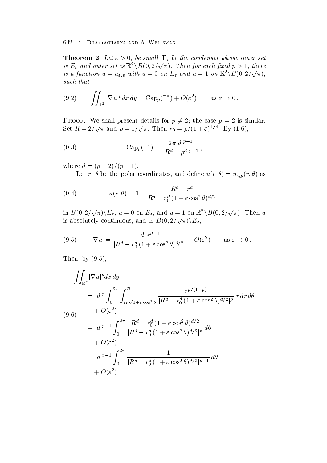**Theorem 2.** Let  $\varepsilon > 0$ , be small,  $\Gamma_{\varepsilon}$  be the condenser whose inner set is  $E_{\varepsilon}$  and outer set is  $\mathbb{R}^2\backslash B(0,2/\sqrt{\pi})$ . Then for each fixed  $p>1$ , there is a function  $u = u_{\varepsilon,p}$  with  $u = 0$  on  $E_{\varepsilon}$  and  $u = 1$  on  $\mathbb{R}^2 \backslash B(0, 2/\sqrt{\pi}),$ such that

$$
(9.2) \qquad \iint_{\mathbb{R}^2} |\nabla u|^p dx dy = \text{Cap}_p(\Gamma^*) + O(\varepsilon^2) \qquad as \ \varepsilon \to 0 \, .
$$

**PROOF.** We shall present details for  $p \neq 2$ ; the case  $p = 2$  is similar. Set  $R = 2/\sqrt{\pi}$  and  $\rho = 1/\sqrt{\pi}$ . Then  $r_0 = \rho/(1+\varepsilon)^{1/4}$ . By (1.6),

(9.3) 
$$
\qquad \qquad \text{Cap}_p(\Gamma^*) = \frac{2\pi |d|^{p-1}}{|R^d - \rho^d|^{p-1}},
$$

where  $a = (p - 2)/(p - 1)$ .

 $\mathcal{L}$  recording to the polar coordinates and define using  $\mathcal{L}$  , and  $\mathcal{L}$  and  $\mathcal{L}$ 

(9.4) 
$$
u(r,\theta) = 1 - \frac{R^d - r^d}{R^d - r_0^d (1 + \varepsilon \cos^2 \theta)^{d/2}},
$$

in  $B(0, 2/\sqrt{\pi})\backslash E_{\varepsilon}$ ,  $u = 0$  on  $E_{\varepsilon}$ , and  $u = 1$  on  $\mathbb{R}^2\backslash B(0, 2/\sqrt{\pi})$ . Then u is absolutely continuous, and in  $B(0, 2/\sqrt{\pi})\backslash E_{\varepsilon}$ ,

(9.5) 
$$
|\nabla u| = \frac{|d| r^{d-1}}{|R^d - r_0^d (1 + \varepsilon \cos^2 \theta)^{d/2}|} + O(\varepsilon^2) \quad \text{as } \varepsilon \to 0.
$$

Then by 

$$
\iint_{\mathbb{R}^2} |\nabla u|^p dx dy
$$
\n
$$
= |d|^p \int_0^{2\pi} \int_{r_0\sqrt{1+\varepsilon \cos^2 \theta}}^{R} \frac{r^{p/(1-p)}}{|R^d - r_0^d (1 + \varepsilon \cos^2 \theta)^{d/2}|^p} r dr d\theta
$$
\n(9.6)\n
$$
+ O(\varepsilon^2)
$$
\n
$$
= |d|^{p-1} \int_0^{2\pi} \frac{|R^d - r_0^d (1 + \varepsilon \cos^2 \theta)^{d/2}|}{|R^d - r_0^d (1 + \varepsilon \cos^2 \theta)^{d/2}|^p} d\theta
$$
\n
$$
+ O(\varepsilon^2)
$$
\n
$$
= |d|^{p-1} \int_0^{2\pi} \frac{1}{|R^d - r_0^d (1 + \varepsilon \cos^2 \theta)^{d/2}|^{p-1}} d\theta
$$
\n
$$
+ O(\varepsilon^2),
$$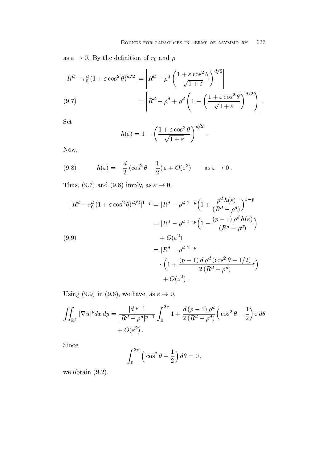as  $\varepsilon \to 0$ . By the definition of  $r_0$  and  $\rho$ ,

$$
|R^d - r_0^d (1 + \varepsilon \cos^2 \theta)^{d/2}| = \left| R^d - \rho^d \left( \frac{1 + \varepsilon \cos^2 \theta}{\sqrt{1 + \varepsilon}} \right)^{d/2} \right|
$$
  
(9.7)  

$$
= \left| R^d - \rho^d + \rho^d \left( 1 - \left( \frac{1 + \varepsilon \cos^2 \theta}{\sqrt{1 + \varepsilon}} \right)^{d/2} \right) \right|.
$$

Set

$$
h(\varepsilon) = 1 - \left(\frac{1 + \varepsilon \cos^2 \theta}{\sqrt{1 + \varepsilon}}\right)^{d/2}.
$$

Now

(9.8) 
$$
h(\varepsilon) = -\frac{d}{2} \left( \cos^2 \theta - \frac{1}{2} \right) \varepsilon + O(\varepsilon^2) \quad \text{as } \varepsilon \to 0.
$$

Thus,  $(9.7)$  and  $(9.8)$  imply, as  $\varepsilon \rightarrow 0$ ,

$$
|R^d - r_0^d (1 + \varepsilon \cos^2 \theta)^{d/2}|^{1-p} = |R^d - \rho^d|^{1-p} \left(1 + \frac{\rho^d h(\varepsilon)}{(R^d - \rho^d)}\right)^{1-p}
$$
  

$$
= |R^d - \rho^d|^{1-p} \left(1 - \frac{(p-1)\rho^d h(\varepsilon)}{(R^d - \rho^d)}\right)
$$
  

$$
+ O(\varepsilon^2)
$$
  

$$
= |R^d - \rho^d|^{1-p}
$$
  

$$
\cdot \left(1 + \frac{(p-1)d\rho^d (\cos^2 \theta - 1/2)}{2(R^d - \rho^d)} \varepsilon\right)
$$
  

$$
+ O(\varepsilon^2).
$$

Using (9.9) in (9.6), we have, as  $\varepsilon \to 0$ ,

$$
\iint_{\mathbb{R}^2} |\nabla u|^p dx dy = \frac{|d|^{p-1}}{|R^d - \rho^d|^{p-1}} \int_0^{2\pi} 1 + \frac{d(p-1)\rho^d}{2(R^d - \rho^d)} \left(\cos^2 \theta - \frac{1}{2}\right) \varepsilon d\theta + O(\varepsilon^2).
$$

Since

$$
\int_0^{2\pi} \left( \cos^2 \theta - \frac{1}{2} \right) d\theta = 0,
$$

where  $\mathbf{v}$  is a set of  $\mathbf{v}$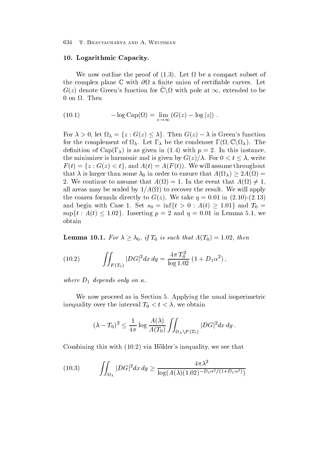#### - Logarithmic Capacity of the Capacity of the Capacity of the Capacity of the Capacity of the Capacity of the Capacity of the Capacity of the Capacity of the Capacity of the Capacity of the Capacity of the Capacity of the

where the proof of  $\mu$  is a computed of  $\mu$  and  $\mu$  and  $\mu$  are a compact of  $\mu$  and  $\mu$  and  $\mu$ the complex plane  $\mathbb C$  with  $\partial\Omega$  a finite union of rectifiable curves. Let  $G(z)$  denote Green's function for  $\mathbb{C}\backslash \Omega$  with pole at  $\infty,$  extended to be  $0$  on  $\Omega$ . Then

(10.1) 
$$
-\log \text{Cap}(\Omega) = \lim_{z \to \infty} (G(z) - \log |z|) .
$$

For  $\lambda > 0$ , let  $\Omega_{\lambda} = \{z : G(z) \leq \lambda\}$ . Then  $G(z) - \lambda$  is Green's function for the complement of  $\Omega_{\lambda}$ . Let  $\Gamma_{\lambda}$  be the condenser  $\Gamma(\Omega,\mathbb{C}\backslash\Omega_{\lambda})$ . The denote the capacity of  $\alpha$  is an  $\alpha$  in this interval in this instance  $\alpha$  in this instance  $\alpha$ the minimizer is harmonic and is given by  $G(z)/\lambda$ . For  $0 < t \leq \lambda$ , write  $F(t)=\{z: G(z)< t\},$  and  $A(t)=A(F(t)).$  We will assume throughout that  $\lambda$  is larger than some  $\lambda_0$  in order to ensure that  $A(\Omega_\lambda) \geq 2A(\Omega) =$ 2. We continue to assume that  $A(\Omega) = 1$ . In the event that  $A(\Omega) \neq 1$ , all are such that is recovered by the property are scaled by the result will be result with  $\mu$  and  $\mu$ the coarea formula directly to God and the coarea formula directly to God and the coarea formula directly to G and begin with Case 1. Set  $s_0 = \inf\{t > 0 : A(t) \geq 1.01\}$  and  $T_0 =$  $\sup\{t : A(t) \leq 1.02\}$ . Inserting  $p = 2$  and  $\eta = 0.01$  in Lemma 5.1, we obtain

**Lemma 10.1.** For  $\lambda \geq \lambda_0$ , if  $T_0$  is such that  $A(T_0) = 1.02$ , then

(10.2) 
$$
\iint_{F(T_0)} |DG|^2 dx dy = \frac{4\pi T_0^2}{\log 1.02} (1 + D_1 \alpha^2),
$$

where  $D_1$  depends only on  $\kappa$ .

We now proceed as in Section 5. Applying the usual isoperimetric include the interval T-model  $\mathbf{U}$  and the interval T-model  $\mathbf{U}$ 

$$
(\lambda - T_0)^2 \le \frac{1}{4\pi} \log \frac{A(\lambda)}{A(T_0)} \iint_{\Omega_\lambda \setminus F(T_0)} |DG|^2 dx dy.
$$

committee of the contract  $\alpha$  and  $\beta$  in the second of the second of the second of the second of the second of the second of the second of the second of the second of the second of the second of the second of the second

(10.3) 
$$
\iint_{\Omega_{\lambda}} |DG|^2 dx dy \ge \frac{4\pi\lambda^2}{\log(A(\lambda)(1.02)^{-D_1\alpha^2/(1+D_1\alpha^2)})}
$$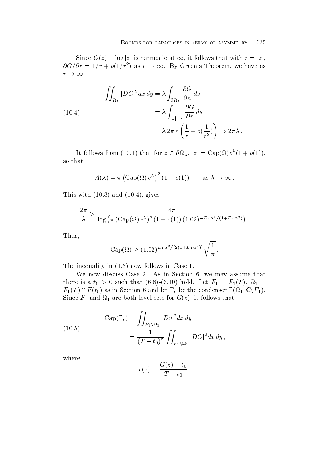Since  $G(z) - \log |z|$  is harmonic at  $\infty$ , it follows that with  $r = |z|$ ,  $\partial G/\partial r = 1/r + o(1/r^2)$  as  $r \to \infty$ . By Green's Theorem, we have as  $r\rightarrow\infty$ .

(10.4)  
\n
$$
\iint_{\Omega_{\lambda}} |DG|^2 dx dy = \lambda \int_{\partial \Omega_{\lambda}} \frac{\partial G}{\partial n} ds
$$
\n
$$
= \lambda \int_{|z|=r} \frac{\partial G}{\partial r} ds
$$
\n
$$
= \lambda 2\pi r \left( \frac{1}{r} + o(\frac{1}{r^2}) \right) \to 2\pi \lambda.
$$

It follows from (10.1) that for  $z \in \partial \Omega_{\lambda}$ ,  $|z| = \text{Cap}(\Omega)e^{\lambda}(1+o(1)),$ so that

$$
A(\lambda) = \pi \left( \text{Cap}(\Omega) e^{\lambda} \right)^2 (1 + o(1)) \quad \text{as } \lambda \to \infty \, .
$$

 $\mathbf{r}$  and  $\mathbf{r}$  and  $\mathbf{r}$  and  $\mathbf{r}$  and  $\mathbf{r}$  and  $\mathbf{r}$  and  $\mathbf{r}$  and  $\mathbf{r}$  and  $\mathbf{r}$  and  $\mathbf{r}$  and  $\mathbf{r}$  and  $\mathbf{r}$  and  $\mathbf{r}$  and  $\mathbf{r}$  and  $\mathbf{r}$  and  $\mathbf{r}$  and  $\mathbf{r}$  and

$$
\frac{2\pi}{\lambda} \ge \frac{4\pi}{\log\left(\pi\left(\text{Cap}(\Omega)\,e^{\lambda}\right)^2(1+o(1))\,(1.02)^{-D_1\alpha^2/(1+D_1\alpha^2)}\right)}.
$$

Thus

$$
Cap(\Omega) \ge (1.02)^{D_1 \alpha^2/(2(1+D_1 \alpha^2))} \sqrt{\frac{1}{\pi}}.
$$

The interval intervals in the intervals in the case of the contract of the contract of the contract of the contract of the contract of the contract of the contract of the contract of the contract of the contract of the con

We now discuss Case 2. As in Section  $6$ , we may assume that  $\tau$  is a t-true is a t-true  $\{ \bullet \cdot \bullet \}$   $\{ \bullet \cdot \neg \bullet \}$  is that  $\tau$  is that  $\tau$  is that  $\tau$  $F_1(T) \cap F(t_0)$  as in Section 6 and let  $\Gamma_c$  be the condenser  $\Gamma(\Omega_1,\mathbb{C}\backslash F_1)$ . Since  $\mathbf{r} = \mathbf{r} = \mathbf{r} = \mathbf{r}$  for Given sets for Given sets for Given sets for Given sets for Given sets for Given sets for Given sets for Given sets for Given sets for Given sets for Given sets for Given sets for G

(10.5) 
$$
\text{Cap}(\Gamma_c) = \iint_{F_1 \setminus \Omega_1} |Dv|^2 dx dy = \frac{1}{(T-t_0)^2} \iint_{F_1 \setminus \Omega_1} |DG|^2 dx dy,
$$

where

$$
v(z) = \frac{G(z) - t_0}{T - t_0}.
$$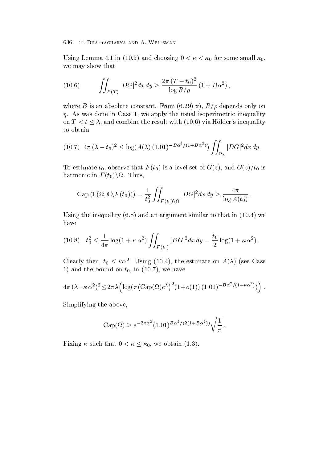$\begin{pmatrix} 1 & 1 & 1 & 1 \ 1 & 1 & 1 & 1 \ 1 & 1 & 1 & 1 \end{pmatrix}$ we may show that

(10.6) 
$$
\iint_{F(T)} |DG|^2 dx dy \geq \frac{2\pi (T-t_0)^2}{\log R/\rho} (1 + B\alpha^2),
$$

where  $\mathbf{r}$  is an absolute constant  $\mathbf{r}$  are absolute constant  $\mathbf{r}$  ,  $\mathbf{r}$  $\eta$ . As was done in Case 1, we apply the usual isoperimetric inequality on  $T < t \leq \lambda$ , and combine the result with (10.6) via Hölder's inequality to obtain

$$
(10.7) \ 4\pi \, (\lambda - t_0)^2 \leq \log(A(\lambda) \, (1.01)^{-B\alpha^2/(1+B\alpha^2)}) \iint_{\Omega_{\lambda}} |DG|^2 dx \, dy \, .
$$

 $\mathbf{v}_1$  is a level set of  $\mathbf{v}_1$  is a level set of  $\mathbf{v}_2$  is a level set of  $\mathbf{v}_2$ harmonic in  $F(t_0)\backslash\Omega$ . Thus,

Cap 
$$
(\Gamma(\Omega, \mathbb{C}\backslash F(t_0))) = \frac{1}{t_0^2} \iint_{F(t_0)\backslash\Omega} |DG|^2 dx dy \ge \frac{4\pi}{\log A(t_0)}.
$$

Using the integration of the integration of the integration of the integration of the integration of the integr have

$$
(10.8) \t t_0^2 \le \frac{1}{4\pi} \log(1 + \kappa \alpha^2) \iint_{F(t_0)} |DG|^2 dx dy = \frac{t_0}{2} \log(1 + \kappa \alpha^2).
$$

Clearly then,  $t_0 \leq \kappa \alpha^2$ . Using (10.4), the estimate on  $A(\lambda)$  (see Case  $\alpha$  in the bound on the bound on the bound of  $\alpha$  in the second one of  $\alpha$ 

$$
4\pi \left(\lambda - \kappa \alpha^2\right)^2 \leq 2\pi \lambda \left(\log(\pi \left(\text{Cap}(\Omega)e^{\lambda}\right)^2 (1+o(1)) (1.01)^{-B\alpha^2/(1+\kappa \alpha^2)})\right).
$$

Simplifying the above

$$
\operatorname{Cap}(\Omega) \ge e^{-2\kappa \alpha^2} (1.01)^{B\alpha^2/(2(1+B\alpha^2))} \sqrt{\frac{1}{\pi}}.
$$

Fixing  $\kappa$  such that  $0 < \kappa \leq \kappa_0$ , we obtain (1.3).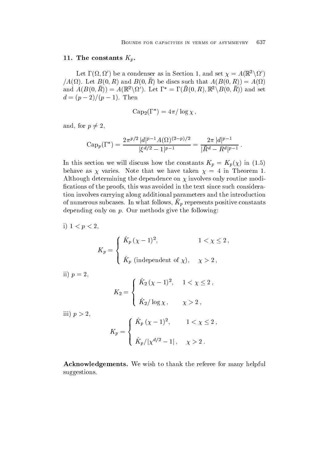#### -- The constants Kp

Let  $\Gamma(\Omega,\Omega')$  be a condenser as in Section 1, and set  $\chi = A(\mathbb{R}^2 \setminus \Omega')$  $\mu(A \cup B)$ . Let  $D(0, B)$  and  $D(0, B)$  be discs such that  $A(D(0, B)) = A(\Omega)$ and  $A(B(0,R)) = A(\mathbb{R}^2 \setminus \Omega')$ . Let  $\Gamma^* = \Gamma(B(0,R), \mathbb{R}^2 \setminus B(0,R))$  and set  $\mu = (\rho - 2)/(\rho - 1)$ . Then

$$
Cap_2(\Gamma^*)=4\pi/\log\chi\,,
$$

and, for  $p \neq 2$ ,

$$
\mathrm{Cap}_p(\Gamma^*) = \frac{2\pi^{p/2} |d|^{p-1} A(\Omega)^{(2-p)/2}}{|\xi^{d/2} - 1|^{p-1}} = \frac{2\pi |d|^{p-1}}{|\bar{R}^d - R^d|^{p-1}}.
$$

In this section we will discuss the constant  $\alpha$  in the constants  $\alpha = \mu$  ,  $\alpha$  ,  $\beta$  ,  $\alpha$ behave as  $\chi$  varies. Note that we have taken  $\chi = 4$  in Theorem 1. Although determining the dependence on  $\chi$  involves only routine modifications of the proofs, this was avoided in the text since such consideration involves carrying along additional parameters and the introduction of numerous subcases. The what follows,  $\mathbf{r}_{p}$  represents positive constants depending only on  $p$ . Our methods give the following:

i) 
$$
1 < p < 2
$$
, 
$$
K_p = \begin{cases} \hat{K}_p ( \chi - 1 )^2, & 1 < \chi \leq 2 \,, \\ \hat{K}_p \text{ (independent of } \chi), & \chi > 2 \,, \end{cases}
$$

ii is a contract of the contract of the contract of the contract of the contract of the contract of the contract of the contract of the contract of the contract of the contract of the contract of the contract of the contra

$$
K_2 = \begin{cases} \hat{K}_2 (\chi - 1)^2, & 1 < \chi \le 2, \\ \hat{K}_2 / \log \chi, & \chi > 2, \end{cases}
$$

iii p

$$
K_p = \begin{cases} \hat{K}_p (\chi - 1)^2, & 1 < \chi \le 2, \\ \hat{K}_p/|\chi^{d/2} - 1|, & \chi > 2. \end{cases}
$$

Acknowledgements We wish to thank the referee for many helpful suggestions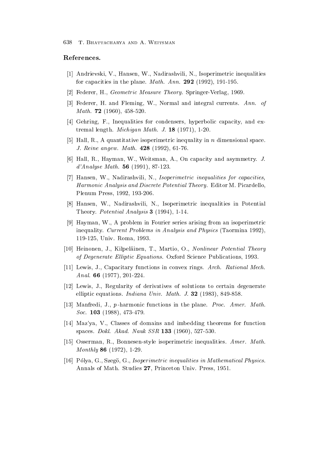### References

- [1] Andrievski, V., Hansen, W., Nadirashvili, N., Isoperimetric inequalities for capacities in the plane Math- Ann-  -- - -
- Federer H Geometric Measure Theory Springer Verlag  $\sim$  10 MHz  $\sim$  10 MHz  $\sim$  10 MHz  $\sim$
- Federer H and Fleming W Normal and integral currents Ann- of Math-  -
- [4] Gehring, F., Inequalities for condensers, hyperbolic capacity, and extremal length Michigan Math- J- -  -
- [5] Hall, R., A quantitative isoperimetric inequality in n dimensional space. J- Reine angew- Math-  --
- [6] Hall, R., Hayman, W., Weitsman, A., On capacity and asymmetry. J.  $\alpha$  . The mathematic contribution of  $\alpha$  and  $\alpha$  and  $\alpha$  and  $\alpha$  and  $\alpha$  and  $\alpha$  and  $\alpha$  and  $\alpha$  and  $\alpha$  and  $\alpha$  and  $\alpha$  and  $\alpha$  and  $\alpha$  and  $\alpha$  and  $\alpha$  and  $\alpha$  and  $\alpha$  and  $\alpha$  and  $\alpha$  and  $\alpha$  and  $\alpha$
- [7] Hansen, W., Nadirashvili, N., Isoperimetric inequalities for capacities, Harmonic Analysis and Discrete Potential Theory- Editor M Picardello Plenum Press -- -
- [8] Hansen, W., Nadirashvili, N., Isoperimetric inequalities in Potential theory Potential Analysis of the Library Potential Analysis of the Potential Analysis of the Potential Analysis
- $\mathcal{L}_{\mathcal{A}}$  , and  $\mathcal{L}_{\mathcal{A}}$  are in Fourier series are in the interesting from an isocratic from an isoperimetric from an isocratic from an isocratic from an interesting from an isocratic from an interesting from a inequality Current Problems in Analysis and Physics Taormina - recovered to the contract of the contract of the contract of the contract of the contract of the contract of the
- [10] Heinonen, J., Kilpeläinen, T., Martio, O., Nonlinear Potential Theory of Degenerate Elizabeth Elizabeth Elizabeth Science Publications Oxford Science Publications and Science Publica
- Lewis J Capacitary functions in convex rings Arch- Rational Mech- $\blacksquare$
- Lewis J Regularity of derivatives of solutions to certain degenerate of solutions to certain degenerate  $\Omega$ elliptic equations in an indiana University of the state of the state of the state of the state of the state o
- Manfredi J p harmonic functions in the plane Proc- Amer- Math- $8000 - 2000 + 12000$
- [14] Maz'ya, V., Classes of domains and imbedding theorems for function  $S$  ,  $S$  ,  $S$  ,  $S$  ,  $S$  ,  $S$  ,  $S$  ,  $S$  ,  $S$  ,  $S$  ,  $S$  ,  $S$  ,  $S$  ,  $S$  ,  $S$  ,  $S$  ,  $S$  ,  $S$  ,  $S$  ,  $S$  ,  $S$  ,  $S$  ,  $S$  ,  $S$  ,  $S$  ,  $S$  ,  $S$  ,  $S$  ,  $S$  ,  $S$  ,  $S$  ,  $S$  ,  $S$  ,  $S$  ,  $S$  ,  $S$  ,  $S$  ,
- Osserman R Bonnesenstyle isoperimetric inequalities Amer- Math-Monthly  - -
- [16] Pólya, G., Szegö, G., Isoperimetric inequalities in Mathematical Physics. Annals of Math Studies Princeton Univ Press -